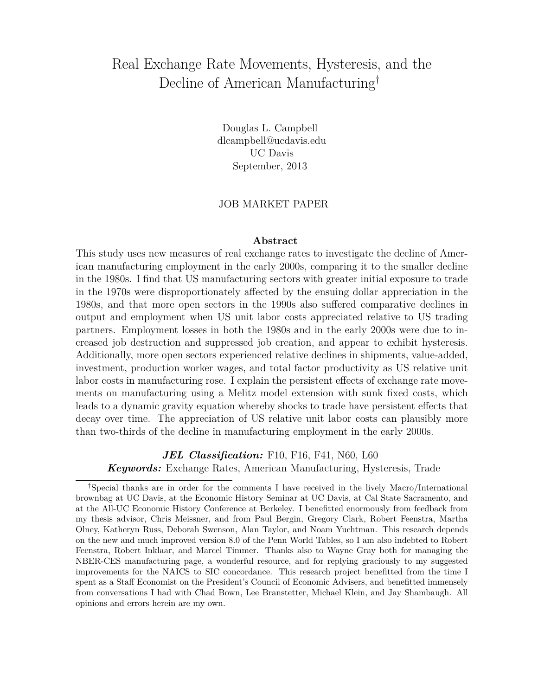# Real Exchange Rate Movements, Hysteresis, and the Decline of American Manufacturing[†](#page-0-0)

Douglas L. Campbell dlcampbell@ucdavis.edu UC Davis September, 2013

#### JOB MARKET PAPER

#### **Abstract**

This study uses new measures of real exchange rates to investigate the decline of American manufacturing employment in the early 2000s, comparing it to the smaller decline in the 1980s. I find that US manufacturing sectors with greater initial exposure to trade in the 1970s were disproportionately affected by the ensuing dollar appreciation in the 1980s, and that more open sectors in the 1990s also suffered comparative declines in output and employment when US unit labor costs appreciated relative to US trading partners. Employment losses in both the 1980s and in the early 2000s were due to increased job destruction and suppressed job creation, and appear to exhibit hysteresis. Additionally, more open sectors experienced relative declines in shipments, value-added, investment, production worker wages, and total factor productivity as US relative unit labor costs in manufacturing rose. I explain the persistent effects of exchange rate movements on manufacturing using a Melitz model extension with sunk fixed costs, which leads to a dynamic gravity equation whereby shocks to trade have persistent effects that decay over time. The appreciation of US relative unit labor costs can plausibly more than two-thirds of the decline in manufacturing employment in the early 2000s.

*JEL Classification:* F10, F16, F41, N60, L60 *Keywords:* Exchange Rates, American Manufacturing, Hysteresis, Trade

<span id="page-0-0"></span><sup>†</sup>Special thanks are in order for the comments I have received in the lively Macro/International brownbag at UC Davis, at the Economic History Seminar at UC Davis, at Cal State Sacramento, and at the All-UC Economic History Conference at Berkeley. I benefitted enormously from feedback from my thesis advisor, Chris Meissner, and from Paul Bergin, Gregory Clark, Robert Feenstra, Martha Olney, Katheryn Russ, Deborah Swenson, Alan Taylor, and Noam Yuchtman. This research depends on the new and much improved version 8.0 of the Penn World Tables, so I am also indebted to Robert Feenstra, Robert Inklaar, and Marcel Timmer. Thanks also to Wayne Gray both for managing the NBER-CES manufacturing page, a wonderful resource, and for replying graciously to my suggested improvements for the NAICS to SIC concordance. This research project benefitted from the time I spent as a Staff Economist on the President's Council of Economic Advisers, and benefitted immensely from conversations I had with Chad Bown, Lee Branstetter, Michael Klein, and Jay Shambaugh. All opinions and errors herein are my own.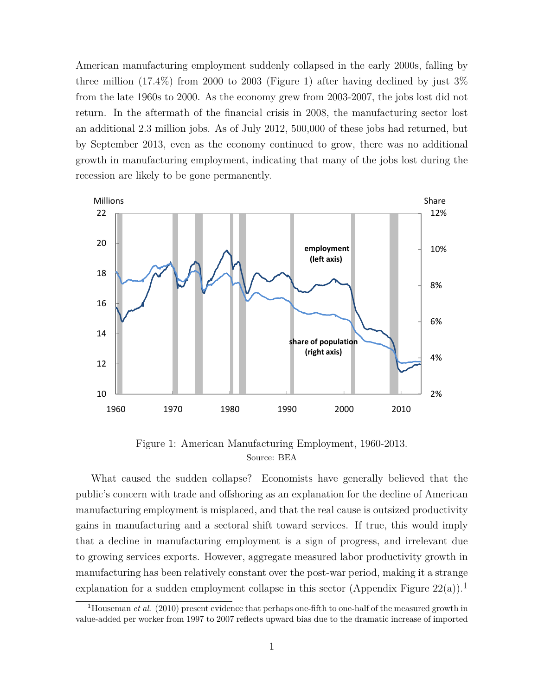American manufacturing employment suddenly collapsed in the early 2000s, falling by three million  $(17.4\%)$  from 2000 to 2003 (Figure [1\)](#page-1-0) after having declined by just  $3\%$ from the late 1960s to 2000. As the economy grew from 2003-2007, the jobs lost did not return. In the aftermath of the financial crisis in 2008, the manufacturing sector lost an additional 2.3 million jobs. As of July 2012, 500,000 of these jobs had returned, but by September 2013, even as the economy continued to grow, there was no additional growth in manufacturing employment, indicating that many of the jobs lost during the recession are likely to be gone permanently.

<span id="page-1-0"></span>

Figure 1: American Manufacturing Employment, 1960-2013. Source: BEA

What caused the sudden collapse? Economists have generally believed that the public's concern with trade and offshoring as an explanation for the decline of American manufacturing employment is misplaced, and that the real cause is outsized productivity gains in manufacturing and a sectoral shift toward services. If true, this would imply that a decline in manufacturing employment is a sign of progress, and irrelevant due to growing services exports. However, aggregate measured labor productivity growth in manufacturing has been relatively constant over the post-war period, making it a strange explanation for a sudden employment collapse in this sector (Appendix Figure  $22(a)$  $22(a)$ ).<sup>[1](#page-1-1)</sup>

<span id="page-1-1"></span><sup>&</sup>lt;sup>1</sup>Houseman *et al.* (2010) present evidence that perhaps one-fifth to one-half of the measured growth in value-added per worker from 1997 to 2007 reflects upward bias due to the dramatic increase of imported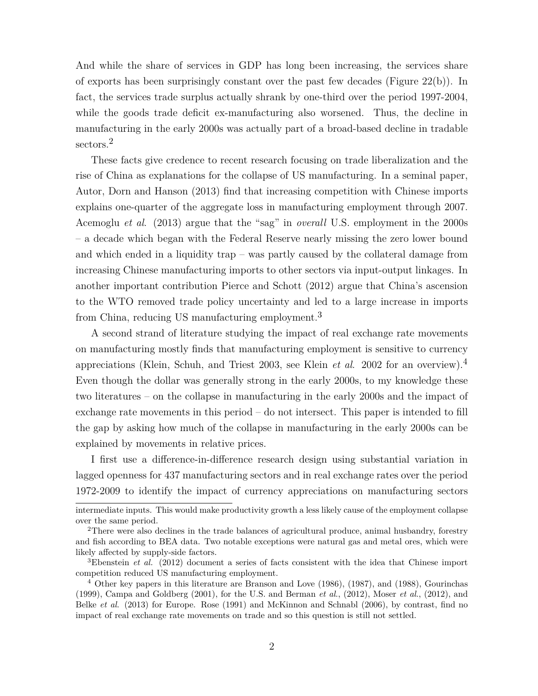And while the share of services in GDP has long been increasing, the services share of exports has been surprisingly constant over the past few decades (Figure  $22(b)$  $22(b)$ ). In fact, the services trade surplus actually shrank by one-third over the period 1997-2004, while the goods trade deficit ex-manufacturing also worsened. Thus, the decline in manufacturing in the early 2000s was actually part of a broad-based decline in tradable sectors.<sup>[2](#page-2-0)</sup>

These facts give credence to recent research focusing on trade liberalization and the rise of China as explanations for the collapse of US manufacturing. In a seminal paper, Autor, Dorn and Hanson (2013) find that increasing competition with Chinese imports explains one-quarter of the aggregate loss in manufacturing employment through 2007. Acemoglu *et al*. (2013) argue that the "sag" in *overall* U.S. employment in the 2000s – a decade which began with the Federal Reserve nearly missing the zero lower bound and which ended in a liquidity trap – was partly caused by the collateral damage from increasing Chinese manufacturing imports to other sectors via input-output linkages. In another important contribution Pierce and Schott (2012) argue that China's ascension to the WTO removed trade policy uncertainty and led to a large increase in imports from China, reducing US manufacturing employment.[3](#page-2-1)

A second strand of literature studying the impact of real exchange rate movements on manufacturing mostly finds that manufacturing employment is sensitive to currency appreciations (Klein, Schuh, and Triest 2003, see Klein *et al*. 2002 for an overview).[4](#page-2-2) Even though the dollar was generally strong in the early 2000s, to my knowledge these two literatures – on the collapse in manufacturing in the early 2000s and the impact of exchange rate movements in this period – do not intersect. This paper is intended to fill the gap by asking how much of the collapse in manufacturing in the early 2000s can be explained by movements in relative prices.

I first use a difference-in-difference research design using substantial variation in lagged openness for 437 manufacturing sectors and in real exchange rates over the period 1972-2009 to identify the impact of currency appreciations on manufacturing sectors

intermediate inputs. This would make productivity growth a less likely cause of the employment collapse over the same period.

<span id="page-2-0"></span><sup>&</sup>lt;sup>2</sup>There were also declines in the trade balances of agricultural produce, animal husbandry, forestry and fish according to BEA data. Two notable exceptions were natural gas and metal ores, which were likely affected by supply-side factors.

<span id="page-2-1"></span><sup>3</sup>Ebenstein *et al.* (2012) document a series of facts consistent with the idea that Chinese import competition reduced US manufacturing employment.

<span id="page-2-2"></span><sup>&</sup>lt;sup>4</sup> Other key papers in this literature are Branson and Love (1986), (1987), and (1988), Gourinchas (1999), Campa and Goldberg (2001), for the U.S. and Berman *et al*., (2012), Moser *et al*., (2012), and Belke *et al*. (2013) for Europe. Rose (1991) and McKinnon and Schnabl (2006), by contrast, find no impact of real exchange rate movements on trade and so this question is still not settled.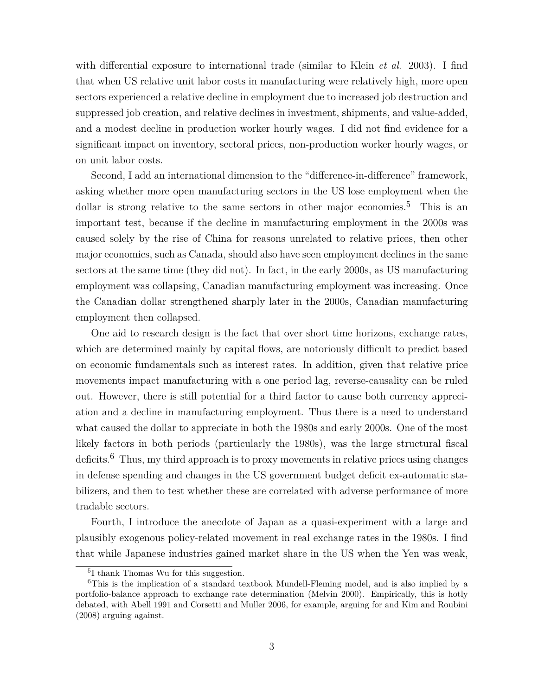with differential exposure to international trade (similar to Klein *et al*. 2003). I find that when US relative unit labor costs in manufacturing were relatively high, more open sectors experienced a relative decline in employment due to increased job destruction and suppressed job creation, and relative declines in investment, shipments, and value-added, and a modest decline in production worker hourly wages. I did not find evidence for a significant impact on inventory, sectoral prices, non-production worker hourly wages, or on unit labor costs.

Second, I add an international dimension to the "difference-in-difference" framework, asking whether more open manufacturing sectors in the US lose employment when the dollar is strong relative to the same sectors in other major economies.<sup>[5](#page-3-0)</sup> This is an important test, because if the decline in manufacturing employment in the 2000s was caused solely by the rise of China for reasons unrelated to relative prices, then other major economies, such as Canada, should also have seen employment declines in the same sectors at the same time (they did not). In fact, in the early 2000s, as US manufacturing employment was collapsing, Canadian manufacturing employment was increasing. Once the Canadian dollar strengthened sharply later in the 2000s, Canadian manufacturing employment then collapsed.

One aid to research design is the fact that over short time horizons, exchange rates, which are determined mainly by capital flows, are notoriously difficult to predict based on economic fundamentals such as interest rates. In addition, given that relative price movements impact manufacturing with a one period lag, reverse-causality can be ruled out. However, there is still potential for a third factor to cause both currency appreciation and a decline in manufacturing employment. Thus there is a need to understand what caused the dollar to appreciate in both the 1980s and early 2000s. One of the most likely factors in both periods (particularly the 1980s), was the large structural fiscal deficits.<sup>[6](#page-3-1)</sup> Thus, my third approach is to proxy movements in relative prices using changes in defense spending and changes in the US government budget deficit ex-automatic stabilizers, and then to test whether these are correlated with adverse performance of more tradable sectors.

Fourth, I introduce the anecdote of Japan as a quasi-experiment with a large and plausibly exogenous policy-related movement in real exchange rates in the 1980s. I find that while Japanese industries gained market share in the US when the Yen was weak,

<span id="page-3-1"></span><span id="page-3-0"></span><sup>5</sup> I thank Thomas Wu for this suggestion.

<sup>6</sup>This is the implication of a standard textbook Mundell-Fleming model, and is also implied by a portfolio-balance approach to exchange rate determination (Melvin 2000). Empirically, this is hotly debated, with Abell 1991 and Corsetti and Muller 2006, for example, arguing for and Kim and Roubini (2008) arguing against.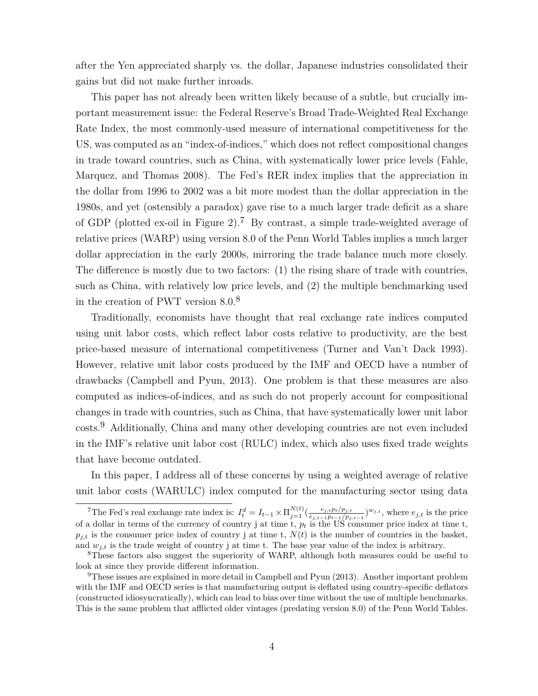after the Yen appreciated sharply vs. the dollar, Japanese industries consolidated their gains but did not make further inroads.

This paper has not already been written likely because of a subtle, but crucially important measurement issue: the Federal Reserve's Broad Trade-Weighted Real Exchange Rate Index, the most commonly-used measure of international competitiveness for the US, was computed as an "index-of-indices," which does not reflect compositional changes in trade toward countries, such as China, with systematically lower price levels (Fahle, Marquez, and Thomas 2008). The Fed's RER index implies that the appreciation in the dollar from 1996 to 2002 was a bit more modest than the dollar appreciation in the 1980s, and yet (ostensibly a paradox) gave rise to a much larger trade deficit as a share of GDP (plotted ex-oil in Figure [2\)](#page-5-0).<sup>[7](#page-4-0)</sup> By contrast, a simple trade-weighted average of relative prices (WARP) using version 8.0 of the Penn World Tables implies a much larger dollar appreciation in the early 2000s, mirroring the trade balance much more closely. The difference is mostly due to two factors: (1) the rising share of trade with countries, such as China, with relatively low price levels, and (2) the multiple benchmarking used in the creation of PWT version 8.0.[8](#page-4-1)

Traditionally, economists have thought that real exchange rate indices computed using unit labor costs, which reflect labor costs relative to productivity, are the best price-based measure of international competitiveness (Turner and Van't Dack 1993). However, relative unit labor costs produced by the IMF and OECD have a number of drawbacks (Campbell and Pyun, 2013). One problem is that these measures are also computed as indices-of-indices, and as such do not properly account for compositional changes in trade with countries, such as China, that have systematically lower unit labor costs.[9](#page-4-2) Additionally, China and many other developing countries are not even included in the IMF's relative unit labor cost (RULC) index, which also uses fixed trade weights that have become outdated.

In this paper, I address all of these concerns by using a weighted average of relative unit labor costs (WARULC) index computed for the manufacturing sector using data

<span id="page-4-0"></span><sup>&</sup>lt;sup>7</sup>The Fed's real exchange rate index is:  $I_t^d = I_{t-1} \times \prod_{j=1}^{N(t)} \left( \frac{e_{j,t} p_t/p_{j,t}}{e_{j,t-1} p_{t-1}/p_j} \right)$  $\frac{e_{j,t}p_t/p_{j,t}}{e_{j,t-1}p_{t-1}/p_{j,t-1}}$ <sup>*w*</sup>*j,t*, where  $e_{j,t}$  is the price of a dollar in terms of the currency of country j at time t, *p<sup>t</sup>* is the US consumer price index at time t,  $p_{i,t}$  is the consumer price index of country j at time t,  $N(t)$  is the number of countries in the basket, and  $w_{i,t}$  is the trade weight of country j at time t. The base year value of the index is arbitrary.

<span id="page-4-1"></span><sup>8</sup>These factors also suggest the superiority of WARP, although both measures could be useful to look at since they provide different information.

<span id="page-4-2"></span><sup>9</sup>These issues are explained in more detail in Campbell and Pyun (2013). Another important problem with the IMF and OECD series is that manufacturing output is deflated using country-specific deflators (constructed idiosyncratically), which can lead to bias over time without the use of multiple benchmarks. This is the same problem that afflicted older vintages (predating version 8.0) of the Penn World Tables.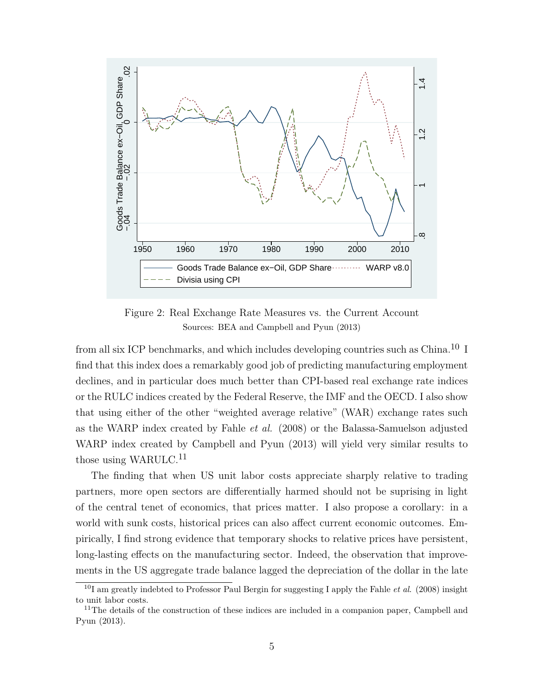<span id="page-5-0"></span>

Figure 2: Real Exchange Rate Measures vs. the Current Account Sources: BEA and Campbell and Pyun (2013)

from all six ICP benchmarks, and which includes developing countries such as China.[10](#page-5-1) I find that this index does a remarkably good job of predicting manufacturing employment declines, and in particular does much better than CPI-based real exchange rate indices or the RULC indices created by the Federal Reserve, the IMF and the OECD. I also show that using either of the other "weighted average relative" (WAR) exchange rates such as the WARP index created by Fahle *et al.* (2008) or the Balassa-Samuelson adjusted WARP index created by Campbell and Pyun (2013) will yield very similar results to those using WARULC.<sup>[11](#page-5-2)</sup>

The finding that when US unit labor costs appreciate sharply relative to trading partners, more open sectors are differentially harmed should not be suprising in light of the central tenet of economics, that prices matter. I also propose a corollary: in a world with sunk costs, historical prices can also affect current economic outcomes. Empirically, I find strong evidence that temporary shocks to relative prices have persistent, long-lasting effects on the manufacturing sector. Indeed, the observation that improvements in the US aggregate trade balance lagged the depreciation of the dollar in the late

<span id="page-5-1"></span><sup>10</sup>I am greatly indebted to Professor Paul Bergin for suggesting I apply the Fahle *et al*. (2008) insight to unit labor costs.

<span id="page-5-2"></span><sup>&</sup>lt;sup>11</sup>The details of the construction of these indices are included in a companion paper, Campbell and Pyun (2013).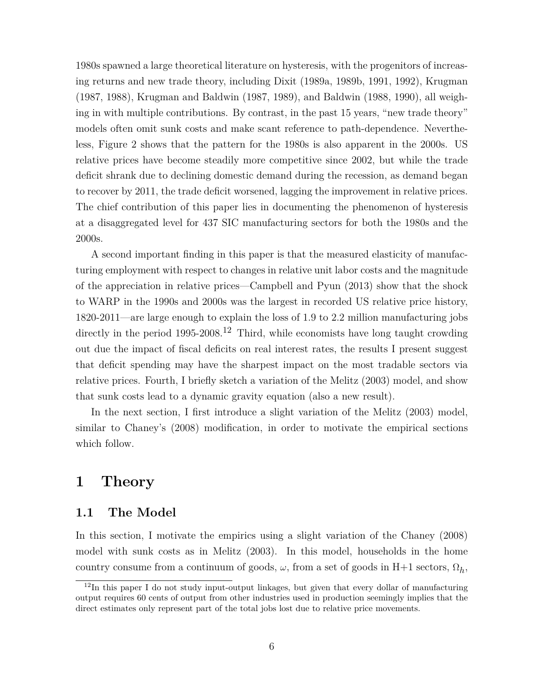1980s spawned a large theoretical literature on hysteresis, with the progenitors of increasing returns and new trade theory, including Dixit (1989a, 1989b, 1991, 1992), Krugman (1987, 1988), Krugman and Baldwin (1987, 1989), and Baldwin (1988, 1990), all weighing in with multiple contributions. By contrast, in the past 15 years, "new trade theory" models often omit sunk costs and make scant reference to path-dependence. Nevertheless, Figure [2](#page-5-0) shows that the pattern for the 1980s is also apparent in the 2000s. US relative prices have become steadily more competitive since 2002, but while the trade deficit shrank due to declining domestic demand during the recession, as demand began to recover by 2011, the trade deficit worsened, lagging the improvement in relative prices. The chief contribution of this paper lies in documenting the phenomenon of hysteresis at a disaggregated level for 437 SIC manufacturing sectors for both the 1980s and the 2000s.

A second important finding in this paper is that the measured elasticity of manufacturing employment with respect to changes in relative unit labor costs and the magnitude of the appreciation in relative prices—Campbell and Pyun (2013) show that the shock to WARP in the 1990s and 2000s was the largest in recorded US relative price history, 1820-2011—are large enough to explain the loss of 1.9 to 2.2 million manufacturing jobs directly in the period 1995-2008.<sup>[12](#page-6-0)</sup> Third, while economists have long taught crowding out due the impact of fiscal deficits on real interest rates, the results I present suggest that deficit spending may have the sharpest impact on the most tradable sectors via relative prices. Fourth, I briefly sketch a variation of the Melitz (2003) model, and show that sunk costs lead to a dynamic gravity equation (also a new result).

In the next section, I first introduce a slight variation of the Melitz (2003) model, similar to Chaney's (2008) modification, in order to motivate the empirical sections which follow.

# **1 Theory**

#### **1.1 The Model**

In this section, I motivate the empirics using a slight variation of the Chaney (2008) model with sunk costs as in Melitz (2003). In this model, households in the home country consume from a continuum of goods,  $\omega$ , from a set of goods in H+1 sectors,  $\Omega_h$ ,

<span id="page-6-0"></span><sup>&</sup>lt;sup>12</sup>In this paper I do not study input-output linkages, but given that every dollar of manufacturing output requires 60 cents of output from other industries used in production seemingly implies that the direct estimates only represent part of the total jobs lost due to relative price movements.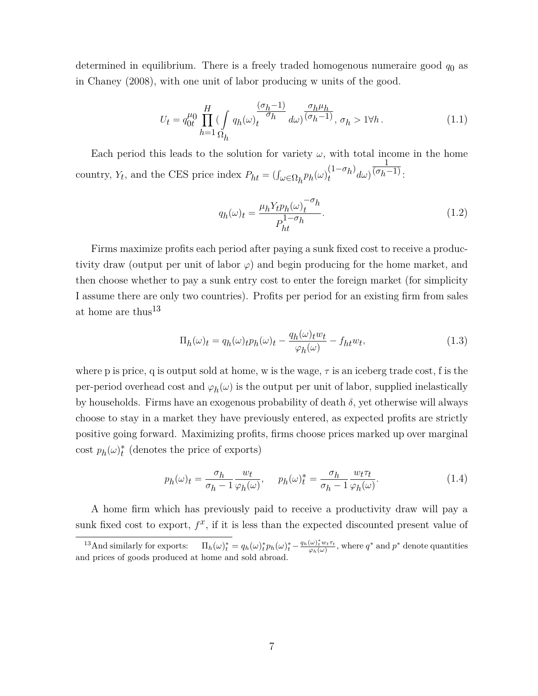determined in equilibrium. There is a freely traded homogenous numeraire good *q*0 as in Chaney (2008), with one unit of labor producing w units of the good.

$$
U_t = q_{0t}^{\mu_0} \prod_{h=1}^{H} \left( \int_{\Omega_h} q_h(\omega) \frac{(\sigma_h - 1)}{\sigma_h} d\omega \right)^{\frac{\sigma_h \mu_h}{(\sigma_h - 1)}}, \sigma_h > 1 \forall h.
$$
 (1.1)

Each period this leads to the solution for variety  $\omega$ , with total income in the home country, *Y*<sub>*t*</sub>, and the CES price index  $P_{ht} = (\int_{\omega \in \Omega_h} p_h(\omega)_t^{(1-\sigma_h)}$  $\int_t^1 e^{-\theta} h^j d\omega$ 1  $\overline{(\sigma_h-1)}$ :

$$
q_h(\omega)_t = \frac{\mu_h Y_t p_h(\omega)_t^{-\sigma_h}}{P_{ht}^{1-\sigma_h}}.\tag{1.2}
$$

Firms maximize profits each period after paying a sunk fixed cost to receive a productivity draw (output per unit of labor  $\varphi$ ) and begin producing for the home market, and then choose whether to pay a sunk entry cost to enter the foreign market (for simplicity I assume there are only two countries). Profits per period for an existing firm from sales at home are thus<sup>[13](#page-7-0)</sup>

$$
\Pi_h(\omega)_t = q_h(\omega)_t p_h(\omega)_t - \frac{q_h(\omega)_t w_t}{\varphi_h(\omega)} - f_{ht} w_t,
$$
\n(1.3)

where p is price, q is output sold at home, w is the wage,  $\tau$  is an iceberg trade cost, f is the per-period overhead cost and  $\varphi_h(\omega)$  is the output per unit of labor, supplied inelastically by households. Firms have an exogenous probability of death *δ*, yet otherwise will always choose to stay in a market they have previously entered, as expected profits are strictly positive going forward. Maximizing profits, firms choose prices marked up over marginal  $\cosh p_h(\omega)_t^*$  (denotes the price of exports)

$$
p_h(\omega)_t = \frac{\sigma_h}{\sigma_h - 1} \frac{w_t}{\varphi_h(\omega)}, \quad p_h(\omega)_t^* = \frac{\sigma_h}{\sigma_h - 1} \frac{w_t \tau_t}{\varphi_h(\omega)}.
$$
 (1.4)

A home firm which has previously paid to receive a productivity draw will pay a sunk fixed cost to export,  $f^x$ , if it is less than the expected discounted present value of

<span id="page-7-0"></span><sup>&</sup>lt;sup>13</sup>And similarly for exports:  $\Pi_h(\omega)_t^* = q_h(\omega)_t^* p_h(\omega)_t^* - \frac{q_h(\omega)_t^* w_t \tau_t}{\varphi_h(\omega)},$  where  $q^*$  and  $p^*$  denote quantities and prices of goods produced at home and sold abroad.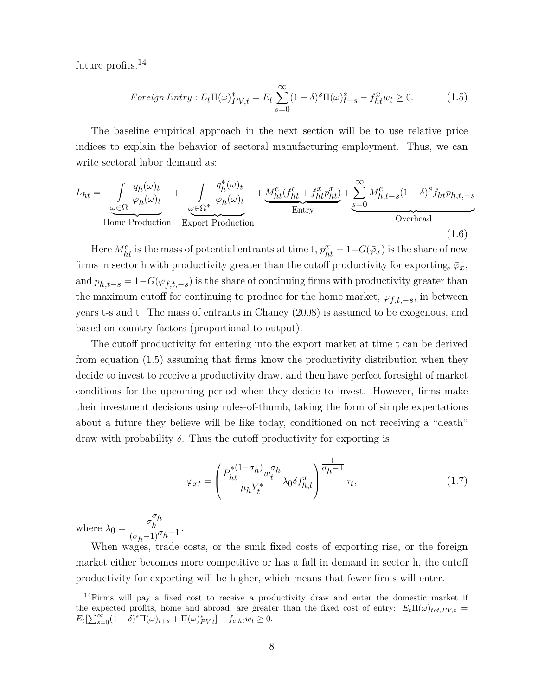future profits.<sup>[14](#page-8-0)</sup>

<span id="page-8-2"></span><span id="page-8-1"></span>
$$
For eigen Entry: E_t\Pi(\omega)_{PV,t}^* = E_t \sum_{s=0}^{\infty} (1-\delta)^s \Pi(\omega)_{t+s}^* - f_{ht}^x w_t \ge 0.
$$
 (1.5)

The baseline empirical approach in the next section will be to use relative price indices to explain the behavior of sectoral manufacturing employment. Thus, we can write sectoral labor demand as:

$$
L_{ht} = \underbrace{\int_{\omega \in \Omega} \frac{q_h(\omega)_t}{\varphi_h(\omega)_t}}_{\text{Home Production}} + \underbrace{\int_{\omega \in \Omega^*} \frac{q_h^*(\omega)_t}{\varphi_h(\omega)_t}}_{\text{Export Production}} + \underbrace{\frac{M_{ht}^e(f_{ht}^e + f_{ht}^x p_{ht}^x)}{\text{Entry}}} + \underbrace{\sum_{s=0}^{\infty} M_{h,t-s}^e (1-\delta)^s f_{ht} p_{h,t,-s}}_{\text{Overhead}}
$$
(1.6)

Here  $M_{ht}^e$  is the mass of potential entrants at time t,  $p_{ht}^x = 1 - G(\bar{\varphi}_x)$  is the share of new firms in sector h with productivity greater than the cutoff productivity for exporting,  $\bar{\varphi}_x$ , and  $p_{h,t-s} = 1-G(\bar{\varphi}_{f,t,-s})$  is the share of continuing firms with productivity greater than the maximum cutoff for continuing to produce for the home market,  $\bar{\varphi}_{f,t,-s}$ , in between years t-s and t. The mass of entrants in Chaney (2008) is assumed to be exogenous, and based on country factors (proportional to output).

The cutoff productivity for entering into the export market at time t can be derived from equation [\(1.5\)](#page-8-1) assuming that firms know the productivity distribution when they decide to invest to receive a productivity draw, and then have perfect foresight of market conditions for the upcoming period when they decide to invest. However, firms make their investment decisions using rules-of-thumb, taking the form of simple expectations about a future they believe will be like today, conditioned on not receiving a "death" draw with probability *δ*. Thus the cutoff productivity for exporting is

$$
\bar{\varphi}_{xt} = \left(\frac{P_{ht}^{*(1-\sigma_h)} w_t^{\sigma_h}}{\mu_h Y_t^*} \lambda_0 \delta f_{h,t}^x\right)^{\frac{1}{\sigma_h - 1}} \tau_t,\tag{1.7}
$$

where  $\lambda_0 = \frac{\sigma_h^{\sigma_h}}{(\sigma_h - 1)^{\sigma_h}}$  $\frac{\sigma_h}{(\sigma_h-1)^\sigma h^{-1}}$ .

When wages, trade costs, or the sunk fixed costs of exporting rise, or the foreign market either becomes more competitive or has a fall in demand in sector h, the cutoff productivity for exporting will be higher, which means that fewer firms will enter.

<span id="page-8-0"></span><sup>14</sup>Firms will pay a fixed cost to receive a productivity draw and enter the domestic market if the expected profits, home and abroad, are greater than the fixed cost of entry:  $E_t\Pi(\omega)_{tot,PV,t} =$  $E_t[\sum_{s=0}^{\infty} (1-\delta)^s \Pi(\omega)_{t+s} + \Pi(\omega)_{PV,t}^*] - f_{e,ht} w_t \ge 0.$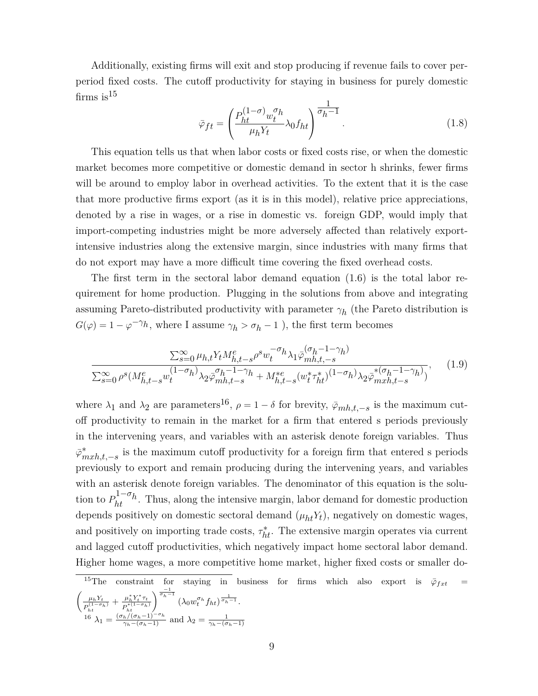<span id="page-9-2"></span>Additionally, existing firms will exit and stop producing if revenue fails to cover perperiod fixed costs. The cutoff productivity for staying in business for purely domestic firms is  $15$ 

$$
\bar{\varphi}_{ft} = \left(\frac{P_{ht}^{(1-\sigma)}w_t^{\sigma}h}{\mu_h Y_t} \lambda_0 f_{ht}\right)^{\frac{1}{\sigma_h - 1}}.\tag{1.8}
$$

This equation tells us that when labor costs or fixed costs rise, or when the domestic market becomes more competitive or domestic demand in sector h shrinks, fewer firms will be around to employ labor in overhead activities. To the extent that it is the case that more productive firms export (as it is in this model), relative price appreciations, denoted by a rise in wages, or a rise in domestic vs. foreign GDP, would imply that import-competing industries might be more adversely affected than relatively exportintensive industries along the extensive margin, since industries with many firms that do not export may have a more difficult time covering the fixed overhead costs.

The first term in the sectoral labor demand equation [\(1.6\)](#page-8-2) is the total labor requirement for home production. Plugging in the solutions from above and integrating assuming Pareto-distributed productivity with parameter  $\gamma_h$  (the Pareto distribution is  $G(\varphi) = 1 - \varphi^{-\gamma}h$ , where I assume  $\gamma_h > \sigma_h - 1$ , the first term becomes

$$
\frac{\sum_{s=0}^{\infty} \mu_{h,t} Y_t M_{h,t-s}^e \rho^s w_t^{-\sigma_h} \lambda_1 \bar{\varphi}_{mh,t-s}^{(\sigma_h - 1 - \gamma_h)}{\sum_{s=0}^{\infty} \rho^s (M_{h,t-s}^e w_t^{(1 - \sigma_h)} \lambda_2 \bar{\varphi}_{mh,t-s}^{\sigma_h - 1 - \gamma_h} + M_{h,t-s}^{*e} (w_t^* \tau_{ht}^*)^{(1 - \sigma_h)} \lambda_2 \bar{\varphi}_{mxh,t-s}^{* (\sigma_h - 1 - \gamma_h)},\tag{1.9}
$$

where  $\lambda_1$  and  $\lambda_2$  are parameters<sup>[16](#page-9-1)</sup>,  $\rho = 1 - \delta$  for brevity,  $\bar{\varphi}_{mh,t,-s}$  is the maximum cutoff productivity to remain in the market for a firm that entered s periods previously in the intervening years, and variables with an asterisk denote foreign variables. Thus *ϕ*¯ ∗ *mxh,t,*−*s* is the maximum cutoff productivity for a foreign firm that entered s periods previously to export and remain producing during the intervening years, and variables with an asterisk denote foreign variables. The denominator of this equation is the solution to  $P_{ht}^{1-\sigma_h}$ . Thus, along the intensive margin, labor demand for domestic production depends positively on domestic sectoral demand  $(\mu_{ht} Y_t)$ , negatively on domestic wages, and positively on importing trade costs,  $\tau_{ht}^*$ . The extensive margin operates via current and lagged cutoff productivities, which negatively impact home sectoral labor demand. Higher home wages, a more competitive home market, higher fixed costs or smaller do-

<span id="page-9-1"></span><span id="page-9-0"></span>
$$
{}^{15}\text{The constraint for staying in business for firms which also export is } \bar{\varphi}_{fxt} = \left(\frac{\mu_h Y_t}{P_{ht}^{(1-\sigma_h)}} + \frac{\mu_h^* Y_t^* \tau_t}{P_{ht}^{*(1-\sigma_h)}}\right)^{\frac{-1}{\sigma_h - 1}} \left(\lambda_0 w_t^{\sigma_h} f_{ht}\right)^{\frac{1}{\sigma_h - 1}}.
$$
\n
$$
{}^{16}\lambda_1 = \frac{(\sigma_h/(\sigma_h - 1)^{-\sigma_h})}{\gamma_h - (\sigma_h - 1)} \text{ and } \lambda_2 = \frac{1}{\gamma_h - (\sigma_h - 1)}
$$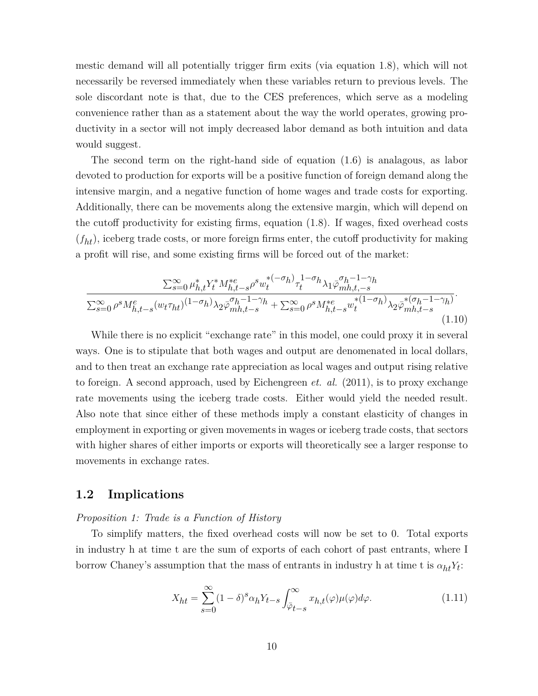mestic demand will all potentially trigger firm exits (via equation [1.8\)](#page-9-2), which will not necessarily be reversed immediately when these variables return to previous levels. The sole discordant note is that, due to the CES preferences, which serve as a modeling convenience rather than as a statement about the way the world operates, growing productivity in a sector will not imply decreased labor demand as both intuition and data would suggest.

The second term on the right-hand side of equation [\(1.6\)](#page-8-2) is analagous, as labor devoted to production for exports will be a positive function of foreign demand along the intensive margin, and a negative function of home wages and trade costs for exporting. Additionally, there can be movements along the extensive margin, which will depend on the cutoff productivity for existing firms, equation [\(1.8\)](#page-9-2). If wages, fixed overhead costs  $(f<sub>ht</sub>)$ , iceberg trade costs, or more foreign firms enter, the cutoff productivity for making a profit will rise, and some existing firms will be forced out of the market:

<span id="page-10-0"></span>
$$
\frac{\sum_{s=0}^{\infty} \mu_{h,t}^{*} Y_{t}^{*} M_{h,t-s}^{* e} \rho^{s} w_{t}^{*(-\sigma_{h})} \tau_{t}^{1-\sigma_{h}} \lambda_{1} \bar{\varphi}_{m h,t-s}^{\sigma_{h}-1-\gamma_{h}}}{\sum_{s=0}^{\infty} \rho^{s} M_{h,t-s}^{e} (w_{t} \tau_{ht})^{(1-\sigma_{h})} \lambda_{2} \bar{\varphi}_{m h,t-s}^{\sigma_{h}-1-\gamma_{h}} + \sum_{s=0}^{\infty} \rho^{s} M_{h,t-s}^{* e} w_{t}^{*(1-\sigma_{h})} \lambda_{2} \bar{\varphi}_{m h,t-s}^{*(\sigma_{h}-1-\gamma_{h})}}.
$$
\n(1.10)

While there is no explicit "exchange rate" in this model, one could proxy it in several ways. One is to stipulate that both wages and output are denomenated in local dollars, and to then treat an exchange rate appreciation as local wages and output rising relative to foreign. A second approach, used by Eichengreen *et. al.* (2011), is to proxy exchange rate movements using the iceberg trade costs. Either would yield the needed result. Also note that since either of these methods imply a constant elasticity of changes in employment in exporting or given movements in wages or iceberg trade costs, that sectors with higher shares of either imports or exports will theoretically see a larger response to movements in exchange rates.

#### **1.2 Implications**

#### *Proposition 1: Trade is a Function of History*

To simplify matters, the fixed overhead costs will now be set to 0. Total exports in industry h at time t are the sum of exports of each cohort of past entrants, where I borrow Chaney's assumption that the mass of entrants in industry h at time t is  $\alpha_{ht} Y_t$ :

$$
X_{ht} = \sum_{s=0}^{\infty} (1 - \delta)^s \alpha_h Y_{t-s} \int_{\bar{\varphi}_{t-s}}^{\infty} x_{h,t}(\varphi) \mu(\varphi) d\varphi.
$$
 (1.11)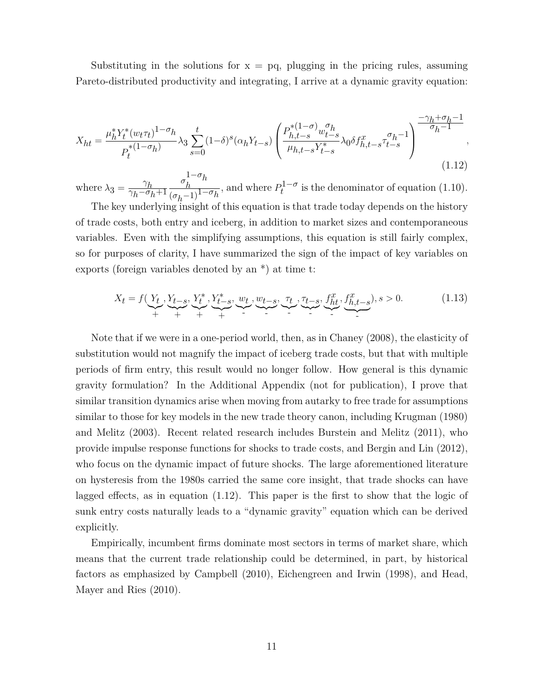<span id="page-11-0"></span>Substituting in the solutions for  $x = pq$ , plugging in the pricing rules, assuming Pareto-distributed productivity and integrating, I arrive at a dynamic gravity equation:

$$
X_{ht} = \frac{\mu_h^* Y_t^* (w_t \tau_t)^{1 - \sigma_h}}{P_t^{* (1 - \sigma_h)}} \lambda_3 \sum_{s=0}^t (1 - \delta)^s (\alpha_h Y_{t-s}) \left( \frac{P_{h, t-s}^{* (1 - \sigma)} w_{t-s}^{\sigma_h}}{\mu_{h, t-s} Y_{t-s}^*} \lambda_0 \delta f_{h, t-s}^x \tau_{t-s}^{\sigma_h - 1} \right) \frac{-\gamma_h + \sigma_h - 1}{\sigma_h - 1},
$$
\n(1.12)

where  $\lambda_3 = \frac{\gamma_h}{\gamma_h - \sigma_i}$ *γh*−*σh*+1 *σ* 1−*σh*  $\frac{\sigma_h}{(\sigma_h-1)^{1-\sigma_h}}$ , and where  $P_t^{1-\sigma}$  $t^{1-\sigma}$  is the denominator of equation [\(1.10\)](#page-10-0).

The key underlying insight of this equation is that trade today depends on the history of trade costs, both entry and iceberg, in addition to market sizes and contemporaneous variables. Even with the simplifying assumptions, this equation is still fairly complex, so for purposes of clarity, I have summarized the sign of the impact of key variables on exports (foreign variables denoted by an \*) at time t:

$$
X_t = f(\underbrace{Y_t}_{+}, \underbrace{Y_{t-s}}_{+}, \underbrace{Y_t^*, Y_{t-s}^*}_{+}, \underbrace{w_t}_{-}, \underbrace{w_{t-s}}_{-}, \underbrace{\tau_t}_{-}, \underbrace{\tau_{t-s}}_{-}, \underbrace{f_{ht}^x}_{-}, \underbrace{f_{h,t-s}^x}_{-}), s > 0. \tag{1.13}
$$

Note that if we were in a one-period world, then, as in Chaney (2008), the elasticity of substitution would not magnify the impact of iceberg trade costs, but that with multiple periods of firm entry, this result would no longer follow. How general is this dynamic gravity formulation? In the Additional Appendix (not for publication), I prove that similar transition dynamics arise when moving from autarky to free trade for assumptions similar to those for key models in the new trade theory canon, including Krugman (1980) and Melitz (2003). Recent related research includes Burstein and Melitz (2011), who provide impulse response functions for shocks to trade costs, and Bergin and Lin (2012), who focus on the dynamic impact of future shocks. The large aforementioned literature on hysteresis from the 1980s carried the same core insight, that trade shocks can have lagged effects, as in equation [\(1.12\)](#page-11-0). This paper is the first to show that the logic of sunk entry costs naturally leads to a "dynamic gravity" equation which can be derived explicitly.

Empirically, incumbent firms dominate most sectors in terms of market share, which means that the current trade relationship could be determined, in part, by historical factors as emphasized by Campbell (2010), Eichengreen and Irwin (1998), and Head, Mayer and Ries (2010).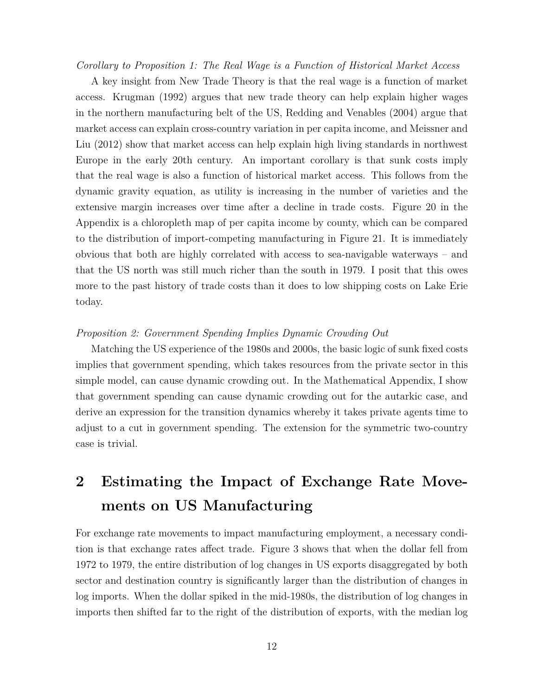*Corollary to Proposition 1: The Real Wage is a Function of Historical Market Access*

A key insight from New Trade Theory is that the real wage is a function of market access. Krugman (1992) argues that new trade theory can help explain higher wages in the northern manufacturing belt of the US, Redding and Venables (2004) argue that market access can explain cross-country variation in per capita income, and Meissner and Liu (2012) show that market access can help explain high living standards in northwest Europe in the early 20th century. An important corollary is that sunk costs imply that the real wage is also a function of historical market access. This follows from the dynamic gravity equation, as utility is increasing in the number of varieties and the extensive margin increases over time after a decline in trade costs. Figure [20](#page-44-0) in the Appendix is a chloropleth map of per capita income by county, which can be compared to the distribution of import-competing manufacturing in Figure [21.](#page-44-0) It is immediately obvious that both are highly correlated with access to sea-navigable waterways – and that the US north was still much richer than the south in 1979. I posit that this owes more to the past history of trade costs than it does to low shipping costs on Lake Erie today.

#### *Proposition 2: Government Spending Implies Dynamic Crowding Out*

Matching the US experience of the 1980s and 2000s, the basic logic of sunk fixed costs implies that government spending, which takes resources from the private sector in this simple model, can cause dynamic crowding out. In the Mathematical Appendix, I show that government spending can cause dynamic crowding out for the autarkic case, and derive an expression for the transition dynamics whereby it takes private agents time to adjust to a cut in government spending. The extension for the symmetric two-country case is trivial.

# **2 Estimating the Impact of Exchange Rate Movements on US Manufacturing**

For exchange rate movements to impact manufacturing employment, a necessary condition is that exchange rates affect trade. Figure [3](#page-13-0) shows that when the dollar fell from 1972 to 1979, the entire distribution of log changes in US exports disaggregated by both sector and destination country is significantly larger than the distribution of changes in log imports. When the dollar spiked in the mid-1980s, the distribution of log changes in imports then shifted far to the right of the distribution of exports, with the median log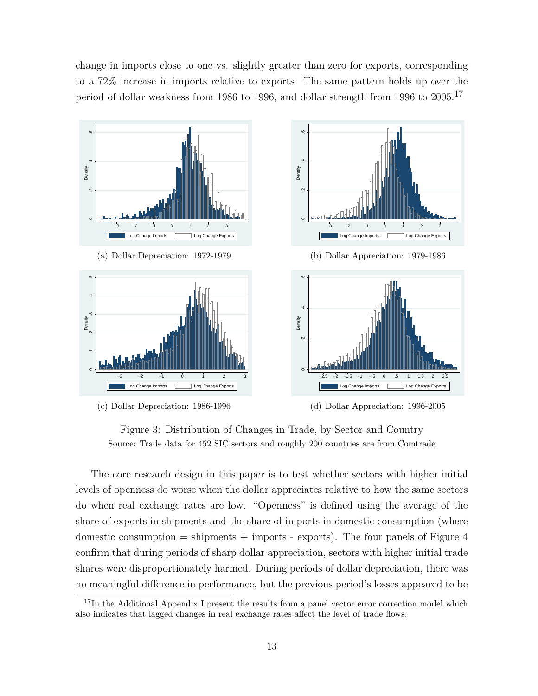change in imports close to one vs. slightly greater than zero for exports, corresponding to a 72% increase in imports relative to exports. The same pattern holds up over the period of dollar weakness from 1986 to 1996, and dollar strength from 1996 to 2005.[17](#page-13-1)

<span id="page-13-0"></span>

Figure 3: Distribution of Changes in Trade, by Sector and Country Source: Trade data for 452 SIC sectors and roughly 200 countries are from Comtrade

The core research design in this paper is to test whether sectors with higher initial levels of openness do worse when the dollar appreciates relative to how the same sectors do when real exchange rates are low. "Openness" is defined using the average of the share of exports in shipments and the share of imports in domestic consumption (where domestic consumption  $=$  shipments  $+$  imports  $-$  exports). The four panels of Figure [4](#page-14-0) confirm that during periods of sharp dollar appreciation, sectors with higher initial trade shares were disproportionately harmed. During periods of dollar depreciation, there was no meaningful difference in performance, but the previous period's losses appeared to be

<span id="page-13-1"></span><sup>&</sup>lt;sup>17</sup>In the Additional Appendix I present the results from a panel vector error correction model which also indicates that lagged changes in real exchange rates affect the level of trade flows.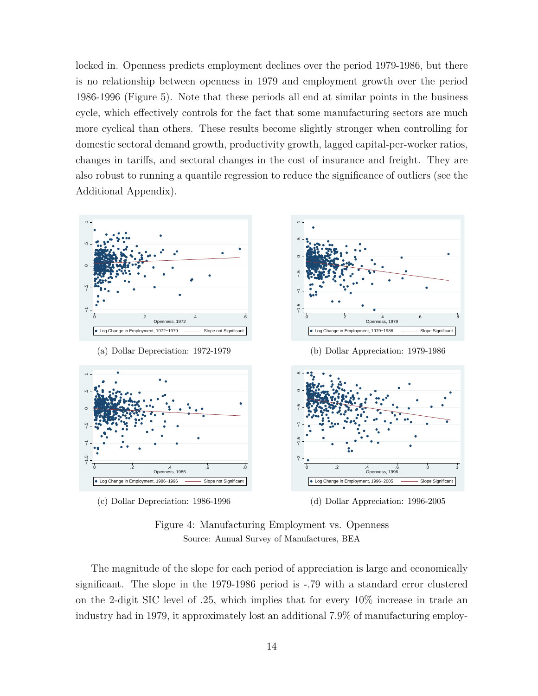locked in. Openness predicts employment declines over the period 1979-1986, but there is no relationship between openness in 1979 and employment growth over the period 1986-1996 (Figure [5\)](#page-15-0). Note that these periods all end at similar points in the business cycle, which effectively controls for the fact that some manufacturing sectors are much more cyclical than others. These results become slightly stronger when controlling for domestic sectoral demand growth, productivity growth, lagged capital-per-worker ratios, changes in tariffs, and sectoral changes in the cost of insurance and freight. They are also robust to running a quantile regression to reduce the significance of outliers (see the Additional Appendix).

<span id="page-14-0"></span>

Figure 4: Manufacturing Employment vs. Openness Source: Annual Survey of Manufactures, BEA

The magnitude of the slope for each period of appreciation is large and economically significant. The slope in the 1979-1986 period is -.79 with a standard error clustered on the 2-digit SIC level of .25, which implies that for every 10% increase in trade an industry had in 1979, it approximately lost an additional 7.9% of manufacturing employ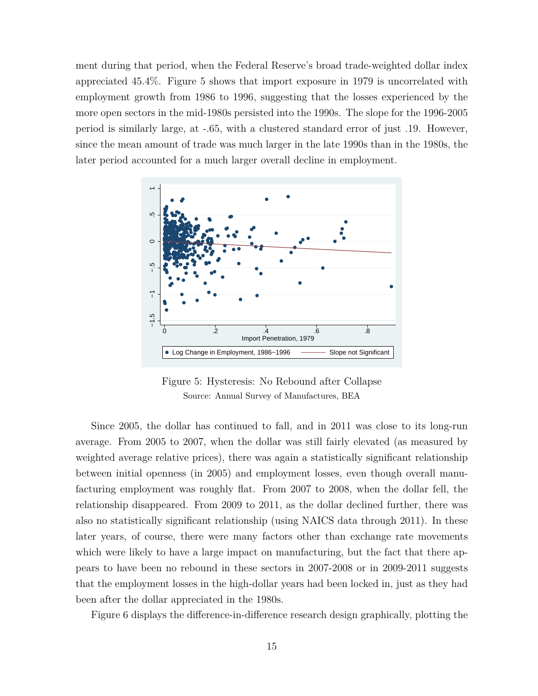ment during that period, when the Federal Reserve's broad trade-weighted dollar index appreciated 45.4%. Figure [5](#page-15-0) shows that import exposure in 1979 is uncorrelated with employment growth from 1986 to 1996, suggesting that the losses experienced by the more open sectors in the mid-1980s persisted into the 1990s. The slope for the 1996-2005 period is similarly large, at -.65, with a clustered standard error of just .19. However, since the mean amount of trade was much larger in the late 1990s than in the 1980s, the later period accounted for a much larger overall decline in employment.

<span id="page-15-0"></span>

Figure 5: Hysteresis: No Rebound after Collapse Source: Annual Survey of Manufactures, BEA

Since 2005, the dollar has continued to fall, and in 2011 was close to its long-run average. From 2005 to 2007, when the dollar was still fairly elevated (as measured by weighted average relative prices), there was again a statistically significant relationship between initial openness (in 2005) and employment losses, even though overall manufacturing employment was roughly flat. From 2007 to 2008, when the dollar fell, the relationship disappeared. From 2009 to 2011, as the dollar declined further, there was also no statistically significant relationship (using NAICS data through 2011). In these later years, of course, there were many factors other than exchange rate movements which were likely to have a large impact on manufacturing, but the fact that there appears to have been no rebound in these sectors in 2007-2008 or in 2009-2011 suggests that the employment losses in the high-dollar years had been locked in, just as they had been after the dollar appreciated in the 1980s.

Figure [6](#page-16-0) displays the difference-in-difference research design graphically, plotting the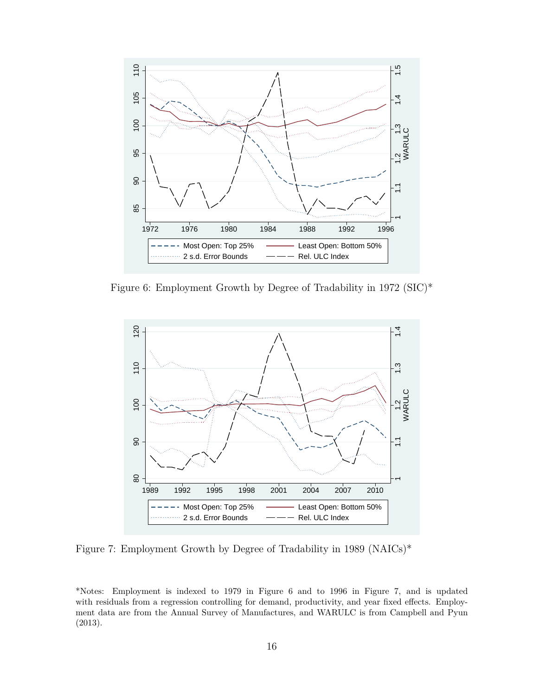<span id="page-16-0"></span>

Figure 6: Employment Growth by Degree of Tradability in 1972 (SIC)\*



Figure 7: Employment Growth by Degree of Tradability in 1989 (NAICs)\*

\*Notes: Employment is indexed to 1979 in Figure [6](#page-16-0) and to 1996 in Figure [7,](#page-16-0) and is updated with residuals from a regression controlling for demand, productivity, and year fixed effects. Employment data are from the Annual Survey of Manufactures, and WARULC is from Campbell and Pyun (2013).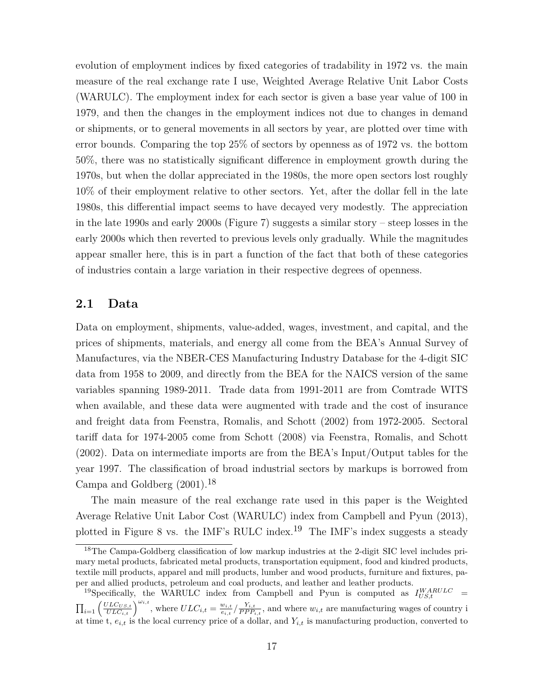evolution of employment indices by fixed categories of tradability in 1972 vs. the main measure of the real exchange rate I use, Weighted Average Relative Unit Labor Costs (WARULC). The employment index for each sector is given a base year value of 100 in 1979, and then the changes in the employment indices not due to changes in demand or shipments, or to general movements in all sectors by year, are plotted over time with error bounds. Comparing the top 25% of sectors by openness as of 1972 vs. the bottom 50%, there was no statistically significant difference in employment growth during the 1970s, but when the dollar appreciated in the 1980s, the more open sectors lost roughly 10% of their employment relative to other sectors. Yet, after the dollar fell in the late 1980s, this differential impact seems to have decayed very modestly. The appreciation in the late 1990s and early 2000s (Figure [7\)](#page-16-0) suggests a similar story – steep losses in the early 2000s which then reverted to previous levels only gradually. While the magnitudes appear smaller here, this is in part a function of the fact that both of these categories of industries contain a large variation in their respective degrees of openness.

#### **2.1 Data**

Data on employment, shipments, value-added, wages, investment, and capital, and the prices of shipments, materials, and energy all come from the BEA's Annual Survey of Manufactures, via the NBER-CES Manufacturing Industry Database for the 4-digit SIC data from 1958 to 2009, and directly from the BEA for the NAICS version of the same variables spanning 1989-2011. Trade data from 1991-2011 are from Comtrade WITS when available, and these data were augmented with trade and the cost of insurance and freight data from Feenstra, Romalis, and Schott (2002) from 1972-2005. Sectoral tariff data for 1974-2005 come from Schott (2008) via Feenstra, Romalis, and Schott (2002). Data on intermediate imports are from the BEA's Input/Output tables for the year 1997. The classification of broad industrial sectors by markups is borrowed from Campa and Goldberg (2001).[18](#page-17-0)

The main measure of the real exchange rate used in this paper is the Weighted Average Relative Unit Labor Cost (WARULC) index from Campbell and Pyun (2013), plotted in Figure [8](#page-18-0) vs. the IMF's RULC index.<sup>[19](#page-17-1)</sup> The IMF's index suggests a steady

<span id="page-17-0"></span><sup>&</sup>lt;sup>18</sup>The Campa-Goldberg classification of low markup industries at the 2-digit SIC level includes primary metal products, fabricated metal products, transportation equipment, food and kindred products, textile mill products, apparel and mill products, lumber and wood products, furniture and fixtures, paper and allied products, petroleum and coal products, and leather and leather products.

<span id="page-17-1"></span><sup>&</sup>lt;sup>19</sup>Specifically, the WARULC index from Campbell and Pyun is computed as  $I_{US,t}^{WARULC}$  =  $\prod_{i=1} \left( \frac{ULC_{US,t}}{ULC_{i,t}} \right)^{\omega_{i,t}}$ , where  $ULC_{i,t} = \frac{w_{i,t}}{e_{i,t}}$  $\frac{w_{i,t}}{e_{i,t}}$  /  $\frac{Y_{i,t}}{PPP_i}$  $\frac{r_{i,t}}{PPP_{i,t}}$ , and where  $w_{i,t}$  are manufacturing wages of country i at time t,  $e_{i,t}$  is the local currency price of a dollar, and  $Y_{i,t}$  is manufacturing production, converted to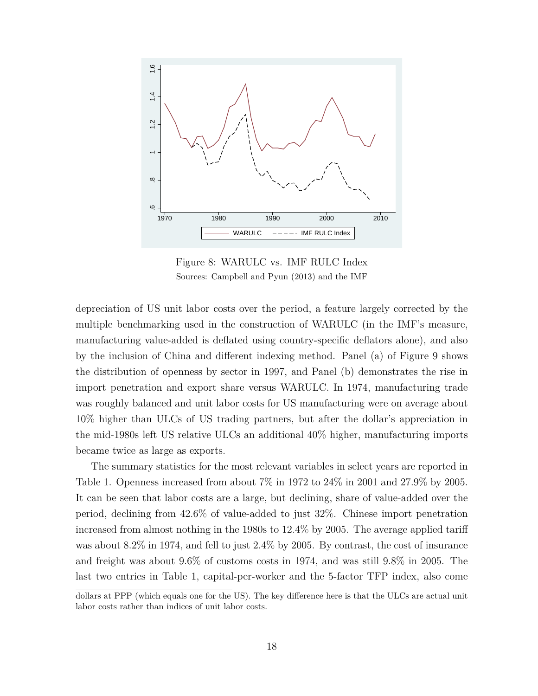<span id="page-18-0"></span>

Figure 8: WARULC vs. IMF RULC Index Sources: Campbell and Pyun (2013) and the IMF

depreciation of US unit labor costs over the period, a feature largely corrected by the multiple benchmarking used in the construction of WARULC (in the IMF's measure, manufacturing value-added is deflated using country-specific deflators alone), and also by the inclusion of China and different indexing method. Panel (a) of Figure [9](#page-20-0) shows the distribution of openness by sector in 1997, and Panel (b) demonstrates the rise in import penetration and export share versus WARULC. In 1974, manufacturing trade was roughly balanced and unit labor costs for US manufacturing were on average about 10% higher than ULCs of US trading partners, but after the dollar's appreciation in the mid-1980s left US relative ULCs an additional 40% higher, manufacturing imports became twice as large as exports.

The summary statistics for the most relevant variables in select years are reported in Table [1.](#page-19-0) Openness increased from about 7% in 1972 to 24% in 2001 and 27.9% by 2005. It can be seen that labor costs are a large, but declining, share of value-added over the period, declining from 42.6% of value-added to just 32%. Chinese import penetration increased from almost nothing in the 1980s to 12.4% by 2005. The average applied tariff was about 8.2% in 1974, and fell to just 2.4% by 2005. By contrast, the cost of insurance and freight was about 9.6% of customs costs in 1974, and was still 9.8% in 2005. The last two entries in Table [1,](#page-19-0) capital-per-worker and the 5-factor TFP index, also come

dollars at PPP (which equals one for the US). The key difference here is that the ULCs are actual unit labor costs rather than indices of unit labor costs.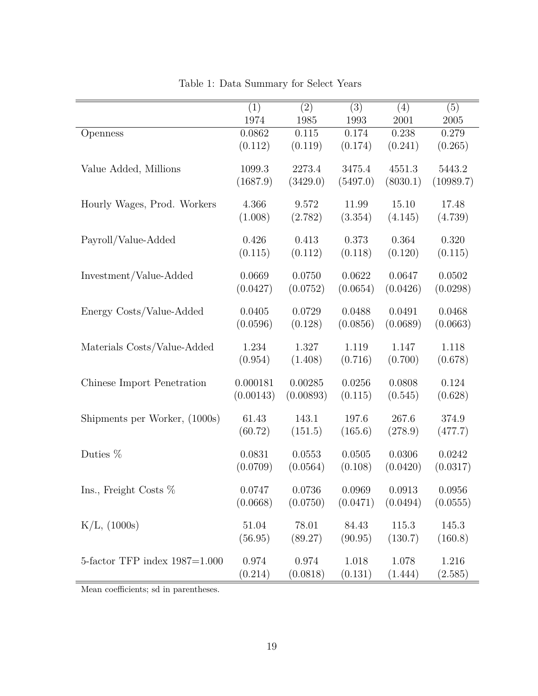<span id="page-19-0"></span>

|                                 | (1)       | (2)       | $\overline{(3)}$ | (4)      | (5)       |
|---------------------------------|-----------|-----------|------------------|----------|-----------|
|                                 | 1974      | 1985      | 1993             | 2001     | 2005      |
| Openness                        | 0.0862    | $0.115\,$ | 0.174            | 0.238    | 0.279     |
|                                 | (0.112)   | (0.119)   | (0.174)          | (0.241)  | (0.265)   |
| Value Added, Millions           | 1099.3    | 2273.4    | 3475.4           | 4551.3   | 5443.2    |
|                                 | (1687.9)  | (3429.0)  | (5497.0)         | (8030.1) | (10989.7) |
| Hourly Wages, Prod. Workers     | 4.366     | 9.572     | 11.99            | 15.10    | 17.48     |
|                                 | (1.008)   | (2.782)   | (3.354)          | (4.145)  | (4.739)   |
| Payroll/Value-Added             | 0.426     | 0.413     | 0.373            | 0.364    | 0.320     |
|                                 | (0.115)   | (0.112)   | (0.118)          | (0.120)  | (0.115)   |
| Investment/Value-Added          | 0.0669    | 0.0750    | 0.0622           | 0.0647   | 0.0502    |
|                                 | (0.0427)  | (0.0752)  | (0.0654)         | (0.0426) | (0.0298)  |
| Energy Costs/Value-Added        | 0.0405    | 0.0729    | 0.0488           | 0.0491   | 0.0468    |
|                                 | (0.0596)  | (0.128)   | (0.0856)         | (0.0689) | (0.0663)  |
| Materials Costs/Value-Added     | 1.234     | 1.327     | 1.119            | 1.147    | 1.118     |
|                                 | (0.954)   | (1.408)   | (0.716)          | (0.700)  | (0.678)   |
| Chinese Import Penetration      | 0.000181  | 0.00285   | 0.0256           | 0.0808   | 0.124     |
|                                 | (0.00143) | (0.00893) | (0.115)          | (0.545)  | (0.628)   |
| Shipments per Worker, (1000s)   | 61.43     | 143.1     | 197.6            | 267.6    | 374.9     |
|                                 | (60.72)   | (151.5)   | (165.6)          | (278.9)  | (477.7)   |
| Duties %                        | 0.0831    | 0.0553    | 0.0505           | 0.0306   | 0.0242    |
|                                 | (0.0709)  | (0.0564)  | (0.108)          | (0.0420) | (0.0317)  |
| Ins., Freight Costs $%$         | 0.0747    | 0.0736    | 0.0969           | 0.0913   | 0.0956    |
|                                 | (0.0668)  | (0.0750)  | (0.0471)         | (0.0494) | (0.0555)  |
| $K/L$ , (1000s)                 | 51.04     | 78.01     | 84.43            | 115.3    | 145.3     |
|                                 | (56.95)   | (89.27)   | (90.95)          | (130.7)  | (160.8)   |
| 5-factor TFP index $1987=1.000$ | 0.974     | 0.974     | 1.018            | 1.078    | 1.216     |
|                                 | (0.214)   | (0.0818)  | (0.131)          | (1.444)  | (2.585)   |

Table 1: Data Summary for Select Years

 $\overline{\hspace{1cm}}$  Mean coefficients; sd in parentheses.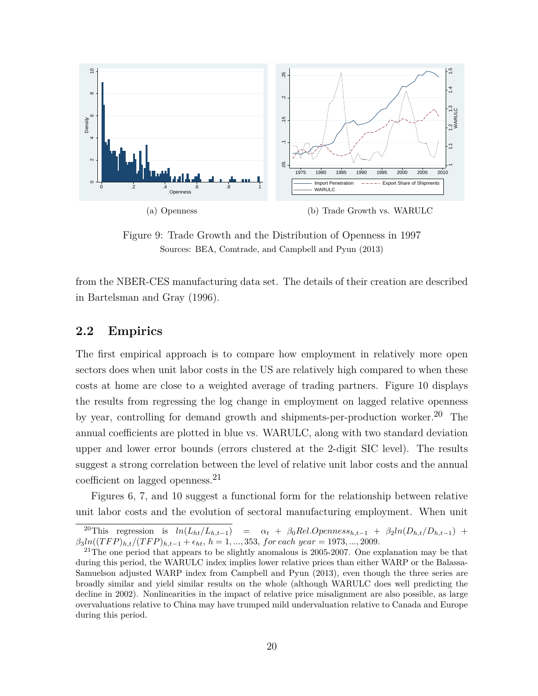<span id="page-20-0"></span>

Figure 9: Trade Growth and the Distribution of Openness in 1997 Sources: BEA, Comtrade, and Campbell and Pyun (2013)

from the NBER-CES manufacturing data set. The details of their creation are described in Bartelsman and Gray (1996).

## **2.2 Empirics**

The first empirical approach is to compare how employment in relatively more open sectors does when unit labor costs in the US are relatively high compared to when these costs at home are close to a weighted average of trading partners. Figure [10](#page-21-0) displays the results from regressing the log change in employment on lagged relative openness by year, controlling for demand growth and shipments-per-production worker.[20](#page-20-1) The annual coefficients are plotted in blue vs. WARULC, along with two standard deviation upper and lower error bounds (errors clustered at the 2-digit SIC level). The results suggest a strong correlation between the level of relative unit labor costs and the annual coefficient on lagged openness.[21](#page-20-2)

Figures [6,](#page-16-0) [7,](#page-16-0) and [10](#page-21-0) suggest a functional form for the relationship between relative unit labor costs and the evolution of sectoral manufacturing employment. When unit

<span id="page-20-1"></span><sup>&</sup>lt;sup>20</sup>This regression is  $ln(L_{ht}/L_{h,t-1}) = \alpha_t + \beta_0 Rel.Openness_{h,t-1} + \beta_2 ln(D_{h,t}/D_{h,t-1}) +$  $\beta_3 ln((TFP)_{h,t}/(TFP)_{h,t-1} + \epsilon_{ht}, h = 1, ..., 353, for each year = 1973, ..., 2009$ .

<span id="page-20-2"></span> $^{21}$ The one period that appears to be slightly anomalous is 2005-2007. One explanation may be that during this period, the WARULC index implies lower relative prices than either WARP or the Balassa-Samuelson adjusted WARP index from Campbell and Pyun (2013), even though the three series are broadly similar and yield similar results on the whole (although WARULC does well predicting the decline in 2002). Nonlinearities in the impact of relative price misalignment are also possible, as large overvaluations relative to China may have trumped mild undervaluation relative to Canada and Europe during this period.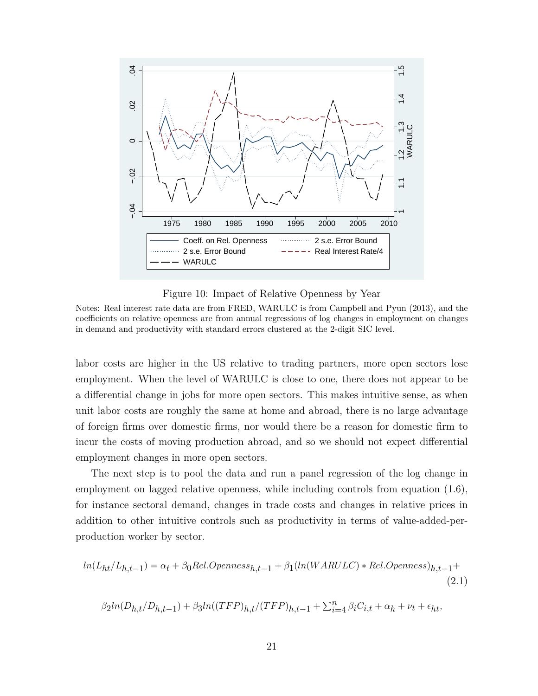<span id="page-21-0"></span>

Figure 10: Impact of Relative Openness by Year

Notes: Real interest rate data are from FRED, WARULC is from Campbell and Pyun (2013), and the coefficients on relative openness are from annual regressions of log changes in employment on changes in demand and productivity with standard errors clustered at the 2-digit SIC level.

labor costs are higher in the US relative to trading partners, more open sectors lose employment. When the level of WARULC is close to one, there does not appear to be a differential change in jobs for more open sectors. This makes intuitive sense, as when unit labor costs are roughly the same at home and abroad, there is no large advantage of foreign firms over domestic firms, nor would there be a reason for domestic firm to incur the costs of moving production abroad, and so we should not expect differential employment changes in more open sectors.

The next step is to pool the data and run a panel regression of the log change in employment on lagged relative openness, while including controls from equation [\(1.6\)](#page-8-2), for instance sectoral demand, changes in trade costs and changes in relative prices in addition to other intuitive controls such as productivity in terms of value-added-perproduction worker by sector.

$$
ln(L_{ht}/L_{h,t-1}) = \alpha_t + \beta_0 Rel. Openness_{h,t-1} + \beta_1(ln(WARULC) * Rel. Openness)_{h,t-1} +
$$
\n(2.1)

$$
\beta_2ln(D_{h,t}/D_{h,t-1})+\beta_3ln((TFP)_{h,t}/(TFP)_{h,t-1}+\textstyle\sum_{i=4}^n\beta_iC_{i,t}+\alpha_h+\nu_t+\epsilon_{ht},
$$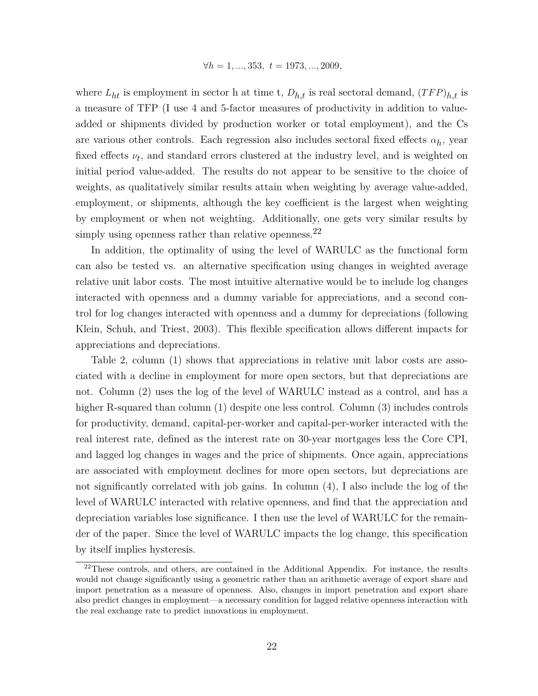$$
\forall h = 1, ..., 353, t = 1973, ..., 2009,
$$

where  $L_{ht}$  is employment in sector h at time t,  $D_{h,t}$  is real sectoral demand,  $(TFP)_{h,t}$  is a measure of TFP (I use 4 and 5-factor measures of productivity in addition to valueadded or shipments divided by production worker or total employment), and the Cs are various other controls. Each regression also includes sectoral fixed effects  $\alpha_h$ , year fixed effects  $\nu_t$ , and standard errors clustered at the industry level, and is weighted on initial period value-added. The results do not appear to be sensitive to the choice of weights, as qualitatively similar results attain when weighting by average value-added, employment, or shipments, although the key coefficient is the largest when weighting by employment or when not weighting. Additionally, one gets very similar results by simply using openness rather than relative openness.<sup>[22](#page-22-0)</sup>

In addition, the optimality of using the level of WARULC as the functional form can also be tested vs. an alternative specification using changes in weighted average relative unit labor costs. The most intuitive alternative would be to include log changes interacted with openness and a dummy variable for appreciations, and a second control for log changes interacted with openness and a dummy for depreciations (following Klein, Schuh, and Triest, 2003). This flexible specification allows different impacts for appreciations and depreciations.

Table [2,](#page-23-0) column (1) shows that appreciations in relative unit labor costs are associated with a decline in employment for more open sectors, but that depreciations are not. Column (2) uses the log of the level of WARULC instead as a control, and has a higher R-squared than column (1) despite one less control. Column (3) includes controls for productivity, demand, capital-per-worker and capital-per-worker interacted with the real interest rate, defined as the interest rate on 30-year mortgages less the Core CPI, and lagged log changes in wages and the price of shipments. Once again, appreciations are associated with employment declines for more open sectors, but depreciations are not significantly correlated with job gains. In column (4), I also include the log of the level of WARULC interacted with relative openness, and find that the appreciation and depreciation variables lose significance. I then use the level of WARULC for the remainder of the paper. Since the level of WARULC impacts the log change, this specification by itself implies hysteresis.

<span id="page-22-0"></span> $22$ These controls, and others, are contained in the Additional Appendix. For instance, the results would not change significantly using a geometric rather than an arithmetic average of export share and import penetration as a measure of openness. Also, changes in import penetration and export share also predict changes in employment—a necessary condition for lagged relative openness interaction with the real exchange rate to predict innovations in employment.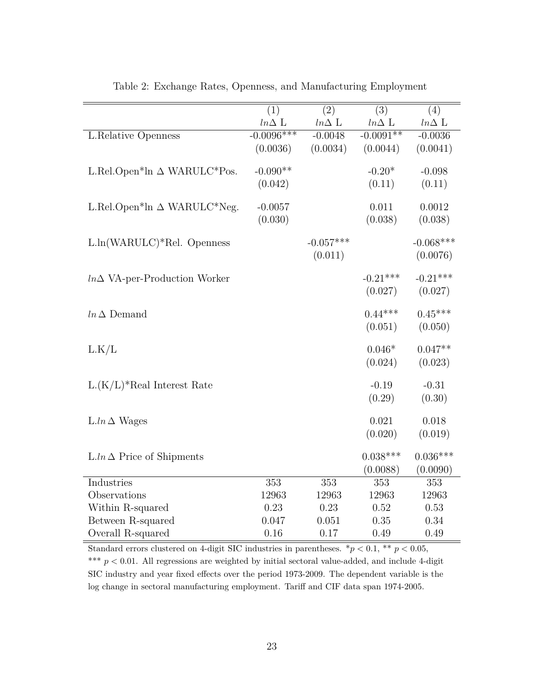<span id="page-23-0"></span>

|                                                              | $\overline{(1)}$ | $\overline{(2)}$ | $\overline{(3)}$ | $\overline{(4)}$ |
|--------------------------------------------------------------|------------------|------------------|------------------|------------------|
|                                                              | $ln\Delta$ L     | $ln\Delta$ L     | $ln\Delta$ L     | $ln\Delta$ L     |
| L.Relative Openness                                          | $-0.0096***$     | $-0.0048$        | $-0.0091**$      | $-0.0036$        |
|                                                              | (0.0036)         | (0.0034)         | (0.0044)         | (0.0041)         |
|                                                              |                  |                  |                  |                  |
| L.Rel.Open <sup>*</sup> ln $\Delta$ WARULC <sup>*</sup> Pos. | $-0.090**$       |                  | $-0.20*$         | $-0.098$         |
|                                                              | (0.042)          |                  | (0.11)           | (0.11)           |
| L.Rel.Open*ln $\Delta$ WARULC*Neg.                           | $-0.0057$        |                  | 0.011            | 0.0012           |
|                                                              | (0.030)          |                  | (0.038)          | (0.038)          |
|                                                              |                  |                  |                  |                  |
| $L\ln(WARULC)*Rel.$ Openness                                 |                  | $-0.057***$      |                  | $-0.068***$      |
|                                                              |                  | (0.011)          |                  | (0.0076)         |
|                                                              |                  |                  |                  |                  |
| $ln \Delta$ VA-per-Production Worker                         |                  |                  | $-0.21***$       | $-0.21***$       |
|                                                              |                  |                  | (0.027)          | (0.027)          |
| $ln \Delta$ Demand                                           |                  |                  | $0.44***$        | $0.45***$        |
|                                                              |                  |                  | (0.051)          | (0.050)          |
|                                                              |                  |                  |                  |                  |
| L.K/L                                                        |                  |                  | $0.046*$         | $0.047**$        |
|                                                              |                  |                  | (0.024)          | (0.023)          |
|                                                              |                  |                  |                  |                  |
| $L(K/L)^*$ Real Interest Rate                                |                  |                  | $-0.19$          | $-0.31$          |
|                                                              |                  |                  | (0.29)           | (0.30)           |
| $L \cdot ln \Delta$ Wages                                    |                  |                  | 0.021            | 0.018            |
|                                                              |                  |                  | (0.020)          | (0.019)          |
|                                                              |                  |                  |                  |                  |
| $L \cdot ln \Delta$ Price of Shipments                       |                  |                  | $0.038***$       | $0.036***$       |
|                                                              |                  |                  | (0.0088)         | (0.0090)         |
| Industries                                                   | 353              | 353              | 353              | 353              |
| Observations                                                 | 12963            | 12963            | 12963            | 12963            |
| Within R-squared                                             | 0.23             | 0.23             | 0.52             | 0.53             |
| Between R-squared                                            | 0.047            | 0.051            | 0.35             | 0.34             |
| Overall R-squared                                            | 0.16             | 0.17             | 0.49             | 0.49             |

Table 2: Exchange Rates, Openness, and Manufacturing Employment

Standard errors clustered on 4-digit SIC industries in parentheses.  $*p < 0.1$ ,  $** p < 0.05$ , \*\*\* $p < 0.01$  . All regressions are weighted by initial sectoral value-added, and include 4-digit SIC industry and year fixed effects over the period 1973-2009. The dependent variable is the log change in sectoral manufacturing employment. Tariff and CIF data span 1974-2005.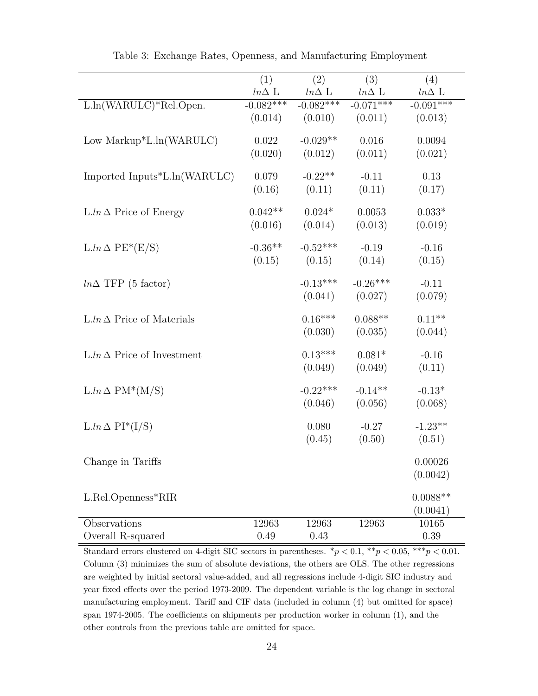<span id="page-24-0"></span>

|                                    | $\overline{(1)}$ | $\overline{(2)}$ | $\overline{(3)}$ | (4)          |
|------------------------------------|------------------|------------------|------------------|--------------|
|                                    | $ln\Delta$ L     | $ln\Delta$ L     | $ln\Delta$ L     | $ln\Delta$ L |
| L.ln(WARULC)*Rel.Open.             | $-0.082***$      | $-0.082***$      | $-0.071***$      | $-0.091***$  |
|                                    | (0.014)          | (0.010)          | (0.011)          | (0.013)      |
| Low Markup $*$ L.ln(WARULC)        | 0.022            | $-0.029**$       | 0.016            | 0.0094       |
|                                    | (0.020)          | (0.012)          | (0.011)          | (0.021)      |
| Imported Inputs*L.ln(WARULC)       | 0.079            | $-0.22**$        | $-0.11$          | $0.13\,$     |
|                                    | (0.16)           | (0.11)           | (0.11)           | (0.17)       |
| $L \ln \Delta$ Price of Energy     | $0.042**$        | $0.024*$         | 0.0053           | $0.033*$     |
|                                    | (0.016)          | (0.014)          | (0.013)          | (0.019)      |
| $L.ln \Delta PE^*(E/S)$            | $-0.36**$        | $-0.52***$       | $-0.19$          | $-0.16$      |
|                                    | (0.15)           | (0.15)           | (0.14)           | (0.15)       |
| $ln\Delta$ TFP (5 factor)          |                  | $-0.13***$       | $-0.26***$       | $-0.11$      |
|                                    |                  | (0.041)          | (0.027)          | (0.079)      |
| $L \ln \Delta$ Price of Materials  |                  | $0.16***$        | $0.088**$        | $0.11**$     |
|                                    |                  | (0.030)          | (0.035)          | (0.044)      |
| $L \ln \Delta$ Price of Investment |                  | $0.13***$        | $0.081*$         | $-0.16$      |
|                                    |                  | (0.049)          | (0.049)          | (0.11)       |
| $L\ln \Delta PM^*(M/S)$            |                  | $-0.22***$       | $-0.14**$        | $-0.13*$     |
|                                    |                  | (0.046)          | (0.056)          | (0.068)      |
| $L.ln \Delta PI^*(I/S)$            |                  | 0.080            | $-0.27$          | $-1.23**$    |
|                                    |                  | (0.45)           | (0.50)           | (0.51)       |
| Change in Tariffs                  |                  |                  |                  | 0.00026      |
|                                    |                  |                  |                  | (0.0042)     |
| L.Rel.Openness*RIR                 |                  |                  |                  | $0.0088**$   |
|                                    |                  |                  |                  | (0.0041)     |
| Observations                       | 12963            | 12963            | 12963            | 10165        |
| Overall R-squared                  | 0.49             | 0.43             |                  | 0.39         |

Table 3: Exchange Rates, Openness, and Manufacturing Employment

Standard errors clustered on 4-digit SIC sectors in parentheses.  $*p < 0.1, **p < 0.05, **p < 0.01$ . Column (3) minimizes the sum of absolute deviations, the others are OLS. The other regressions are weighted by initial sectoral value-added, and all regressions include 4-digit SIC industry and year fixed effects over the period 1973-2009. The dependent variable is the log change in sectoral manufacturing employment. Tariff and CIF data (included in column (4) but omitted for space) span 1974-2005. The coefficients on shipments per production worker in column (1), and the other controls from the previous table are omitted for space.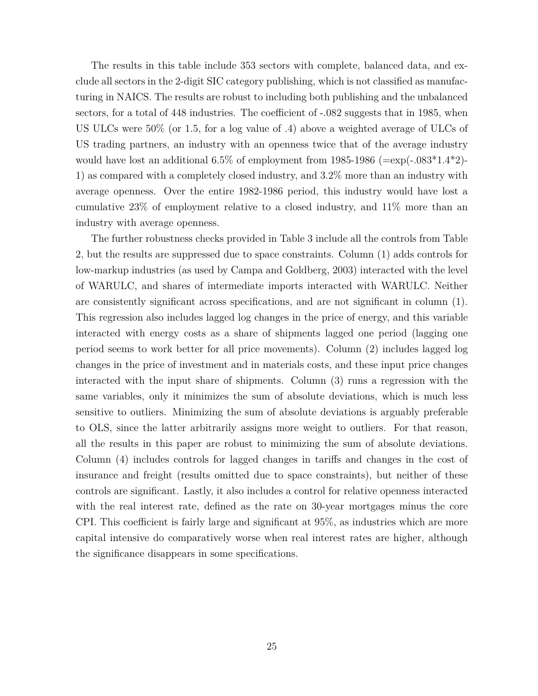The results in this table include 353 sectors with complete, balanced data, and exclude all sectors in the 2-digit SIC category publishing, which is not classified as manufacturing in NAICS. The results are robust to including both publishing and the unbalanced sectors, for a total of 448 industries. The coefficient of -.082 suggests that in 1985, when US ULCs were 50% (or 1.5, for a log value of .4) above a weighted average of ULCs of US trading partners, an industry with an openness twice that of the average industry would have lost an additional 6.5% of employment from 1985-1986 ( $=\exp(-.083*1.4*2)$ -1) as compared with a completely closed industry, and 3.2% more than an industry with average openness. Over the entire 1982-1986 period, this industry would have lost a cumulative 23% of employment relative to a closed industry, and 11% more than an industry with average openness.

The further robustness checks provided in Table [3](#page-24-0) include all the controls from Table [2,](#page-23-0) but the results are suppressed due to space constraints. Column (1) adds controls for low-markup industries (as used by Campa and Goldberg, 2003) interacted with the level of WARULC, and shares of intermediate imports interacted with WARULC. Neither are consistently significant across specifications, and are not significant in column (1). This regression also includes lagged log changes in the price of energy, and this variable interacted with energy costs as a share of shipments lagged one period (lagging one period seems to work better for all price movements). Column (2) includes lagged log changes in the price of investment and in materials costs, and these input price changes interacted with the input share of shipments. Column (3) runs a regression with the same variables, only it minimizes the sum of absolute deviations, which is much less sensitive to outliers. Minimizing the sum of absolute deviations is arguably preferable to OLS, since the latter arbitrarily assigns more weight to outliers. For that reason, all the results in this paper are robust to minimizing the sum of absolute deviations. Column (4) includes controls for lagged changes in tariffs and changes in the cost of insurance and freight (results omitted due to space constraints), but neither of these controls are significant. Lastly, it also includes a control for relative openness interacted with the real interest rate, defined as the rate on 30-year mortgages minus the core CPI. This coefficient is fairly large and significant at 95%, as industries which are more capital intensive do comparatively worse when real interest rates are higher, although the significance disappears in some specifications.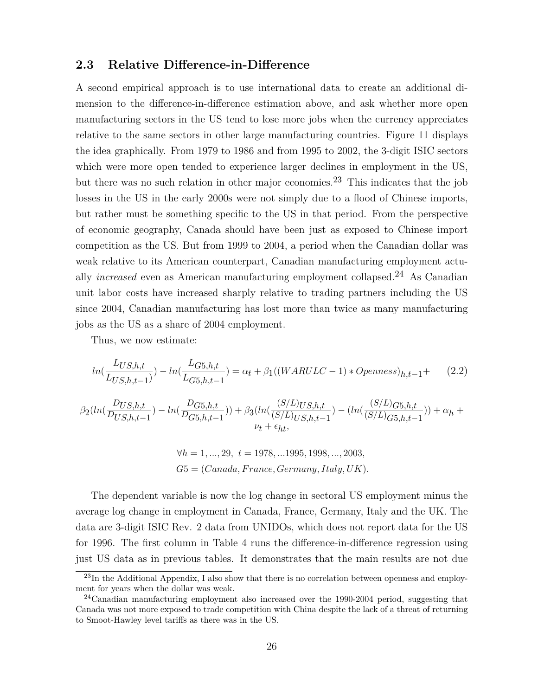### **2.3 Relative Difference-in-Difference**

A second empirical approach is to use international data to create an additional dimension to the difference-in-difference estimation above, and ask whether more open manufacturing sectors in the US tend to lose more jobs when the currency appreciates relative to the same sectors in other large manufacturing countries. Figure [11](#page-28-0) displays the idea graphically. From 1979 to 1986 and from 1995 to 2002, the 3-digit ISIC sectors which were more open tended to experience larger declines in employment in the US, but there was no such relation in other major economies.<sup>[23](#page-26-0)</sup> This indicates that the job losses in the US in the early 2000s were not simply due to a flood of Chinese imports, but rather must be something specific to the US in that period. From the perspective of economic geography, Canada should have been just as exposed to Chinese import competition as the US. But from 1999 to 2004, a period when the Canadian dollar was weak relative to its American counterpart, Canadian manufacturing employment actually *increased* even as American manufacturing employment collapsed.<sup>[24](#page-26-1)</sup> As Canadian unit labor costs have increased sharply relative to trading partners including the US since 2004, Canadian manufacturing has lost more than twice as many manufacturing jobs as the US as a share of 2004 employment.

<span id="page-26-2"></span>Thus, we now estimate:

$$
ln(\frac{L_{US,h,t}}{L_{US,h,t-1}}) - ln(\frac{L_{G5,h,t}}{L_{G5,h,t-1}}) = \alpha_t + \beta_1((WARULC - 1) * Openness)_{h,t-1} + (2.2)
$$

$$
\beta_2(ln(\frac{D_{US,h,t}}{D_{US,h,t-1}}) - ln(\frac{D_{G5,h,t}}{D_{G5,h,t-1}})) + \beta_3(ln(\frac{(S/L)_{US,h,t}}{(S/L)_{US,h,t-1}}) - (ln(\frac{(S/L)_{G5,h,t}}{(S/L)_{G5,h,t-1}})) + \alpha_h + \beta_3 (ln(\frac{(S/L)_{US,h,t}}{D_{US,h,t-1}}) - (ln(\frac{(S/L)_{G5,h,t}}{(S/L)_{G5,h,t-1}})) + \alpha_h + \beta_3 (ln(\frac{(S/L)_{US,h,t}}{D_{US,h,t-1}}) - (ln(\frac{(S/L)_{US,h,t}}{(S/L)_{G5,h,t-1}})) + \alpha_h + \beta_4 (ln(\frac{(S/L)_{US,h,t}}{D_{US,h,t-1}}) - (ln(\frac{(S/L)_{US,h,t}}{(S/L)_{US,h,t-1}})) + \alpha_h + \beta_5 (ln(\frac{(S/L)_{US,h,t}}{D_{US,h,t-1}}) - (ln(\frac{(S/L)_{US,h,t}}{(S/L)_{US,h,t-1}})) + \alpha_h + \beta_6 (ln(\frac{(S/L)_{US,h,t}}{D_{US,h,t-1}}) - (ln(\frac{(S/L)_{US,h,t}}{(S/L)_{US,h,t-1}})) + \alpha_h + \beta_7 (ln(\frac{(S/L)_{US,h,t}}{D_{US,h,t-1}}) - (ln(\frac{(S/L)_{US,h,t}}{(S/L)_{US,h,t-1}})) + \alpha_h + \beta_7 (ln(\frac{(S/L)_{US,h,t}}{D_{US,h,t-1}}) - (ln(\frac{(S/L)_{US,h,t}}{(S/L)_{US,h,t-1}})) + \alpha_h + \beta_7 (ln(\frac{(S/L)_{US,h,t}}{D_{US,h,t-1}}) - (ln(\frac{(S/L)_{US,h,t}}{(S/L)_{US,h,t-1}})) + \alpha_h + \beta_7 (ln(\frac{(S/L)_{US,h,t}}{D_{US,h,t-1}}) - (ln(\frac{(S/L)_{US,h,t}}{D_{US,h,t-1}}) - (ln(\frac{(S/L)_{US,h,t}}{D_{US,h,t-1}}) - (ln(\frac{(S/L)_{US,h,t}}{D_{US,h,t-1}}) - (ln(\frac{(S/L)_{US,h,t}}{D_{US,h,t-1}}) - (ln(\frac{(S/L)_{US,h,t}}{D_{US,h,t-1}}) - (ln(\frac{(S/L)_{US,h,t}}{D_{US,h,t-1}}) - (ln(\frac{(S/L)_{US,h,t
$$

$$
\forall h = 1, ..., 29, t = 1978, ... 1995, 1998, ..., 2003,
$$

$$
G5 = (Canada, France, Germany, Italy, UK).
$$

The dependent variable is now the log change in sectoral US employment minus the average log change in employment in Canada, France, Germany, Italy and the UK. The data are 3-digit ISIC Rev. 2 data from UNIDOs, which does not report data for the US for 1996. The first column in Table [4](#page-27-0) runs the difference-in-difference regression using just US data as in previous tables. It demonstrates that the main results are not due

<span id="page-26-0"></span><sup>&</sup>lt;sup>23</sup>In the Additional Appendix, I also show that there is no correlation between openness and employment for years when the dollar was weak.

<span id="page-26-1"></span> $^{24}$ Canadian manufacturing employment also increased over the 1990-2004 period, suggesting that Canada was not more exposed to trade competition with China despite the lack of a threat of returning to Smoot-Hawley level tariffs as there was in the US.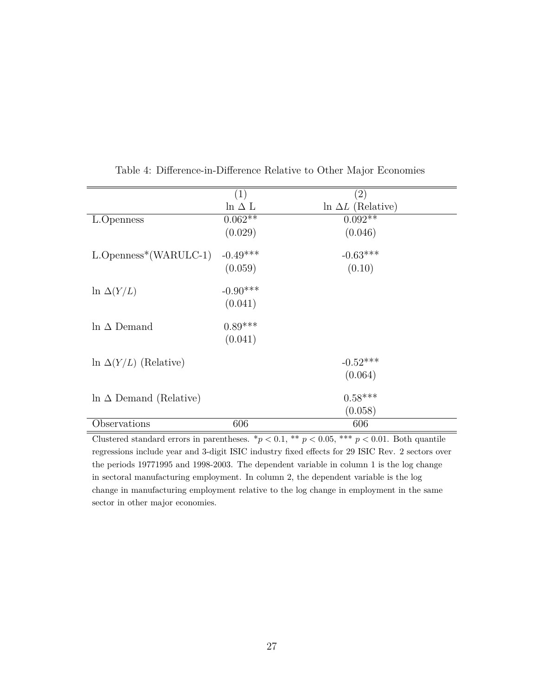<span id="page-27-0"></span>

|                                | (1)            | (2)                       |
|--------------------------------|----------------|---------------------------|
|                                | $\ln \Delta$ L | $\ln \Delta L$ (Relative) |
| L.Openness                     | $0.062**$      | $0.092**$                 |
|                                | (0.029)        | (0.046)                   |
| $L.Openness*(WARULC-1)$        | $-0.49***$     | $-0.63***$                |
|                                | (0.059)        | (0.10)                    |
| $\ln \Delta(Y/L)$              | $-0.90***$     |                           |
|                                | (0.041)        |                           |
| In $\Delta$ Demand             | $0.89***$      |                           |
|                                | (0.041)        |                           |
|                                |                |                           |
| $\ln \Delta(Y/L)$ (Relative)   |                | $-0.52***$                |
|                                |                | (0.064)                   |
| $\ln \Delta$ Demand (Relative) |                | $0.58***$                 |
|                                |                |                           |
|                                |                | (0.058)                   |
| Observations                   | 606            | 606                       |

Table 4: Difference-in-Difference Relative to Other Major Economies

Clustered standard errors in parentheses.  $*p < 0.1$ ,  $**$   $p < 0.05$ ,  $***$   $p < 0.01$ . Both quantile regressions include year and 3-digit ISIC industry fixed effects for 29 ISIC Rev. 2 sectors over the periods 19771995 and 1998-2003. The dependent variable in column 1 is the log change in sectoral manufacturing employment. In column 2, the dependent variable is the log change in manufacturing employment relative to the log change in employment in the same sector in other major economies.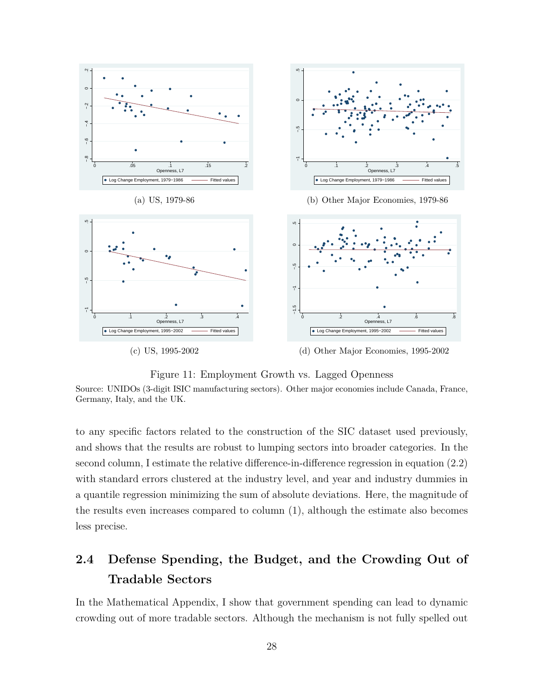<span id="page-28-0"></span>

Figure 11: Employment Growth vs. Lagged Openness

Source: UNIDOs (3-digit ISIC manufacturing sectors). Other major economies include Canada, France, Germany, Italy, and the UK.

to any specific factors related to the construction of the SIC dataset used previously, and shows that the results are robust to lumping sectors into broader categories. In the second column, I estimate the relative difference-in-difference regression in equation [\(2.2\)](#page-26-2) with standard errors clustered at the industry level, and year and industry dummies in a quantile regression minimizing the sum of absolute deviations. Here, the magnitude of the results even increases compared to column (1), although the estimate also becomes less precise.

# **2.4 Defense Spending, the Budget, and the Crowding Out of Tradable Sectors**

In the Mathematical Appendix, I show that government spending can lead to dynamic crowding out of more tradable sectors. Although the mechanism is not fully spelled out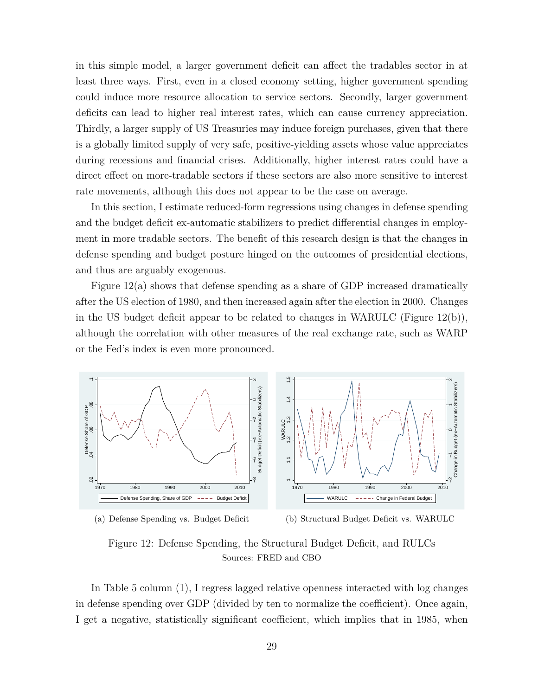in this simple model, a larger government deficit can affect the tradables sector in at least three ways. First, even in a closed economy setting, higher government spending could induce more resource allocation to service sectors. Secondly, larger government deficits can lead to higher real interest rates, which can cause currency appreciation. Thirdly, a larger supply of US Treasuries may induce foreign purchases, given that there is a globally limited supply of very safe, positive-yielding assets whose value appreciates during recessions and financial crises. Additionally, higher interest rates could have a direct effect on more-tradable sectors if these sectors are also more sensitive to interest rate movements, although this does not appear to be the case on average.

In this section, I estimate reduced-form regressions using changes in defense spending and the budget deficit ex-automatic stabilizers to predict differential changes in employment in more tradable sectors. The benefit of this research design is that the changes in defense spending and budget posture hinged on the outcomes of presidential elections, and thus are arguably exogenous.

Figure [12\(](#page-29-0)a) shows that defense spending as a share of GDP increased dramatically after the US election of 1980, and then increased again after the election in 2000. Changes in the US budget deficit appear to be related to changes in WARULC (Figure [12\(](#page-29-0)b)), although the correlation with other measures of the real exchange rate, such as WARP or the Fed's index is even more pronounced.

<span id="page-29-0"></span>



(b) Structural Budget Deficit vs. WARULC

Figure 12: Defense Spending, the Structural Budget Deficit, and RULCs Sources: FRED and CBO

In Table [5](#page-30-0) column (1), I regress lagged relative openness interacted with log changes in defense spending over GDP (divided by ten to normalize the coefficient). Once again, I get a negative, statistically significant coefficient, which implies that in 1985, when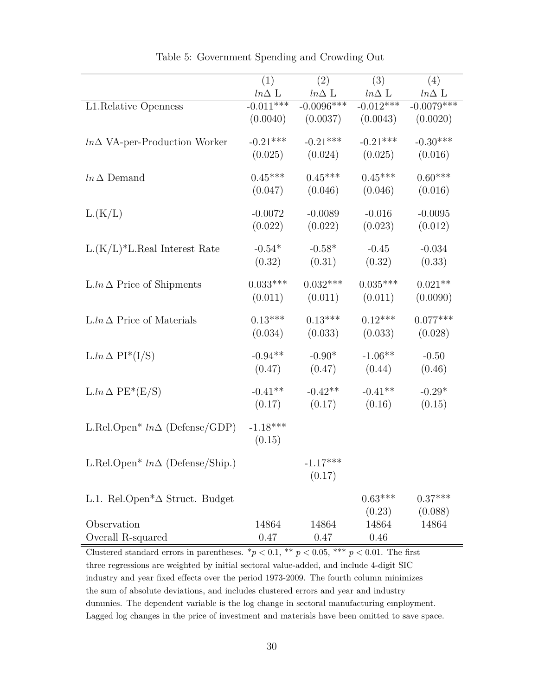<span id="page-30-0"></span>

|                                                              | (1)          | (2)          | (3)          | (4)          |
|--------------------------------------------------------------|--------------|--------------|--------------|--------------|
|                                                              | $ln\Delta$ L | $ln\Delta$ L | $ln\Delta$ L | $ln\Delta$ L |
| L1.Relative Openness                                         | $-0.011***$  | $-0.0096***$ | $-0.012***$  | $-0.0079***$ |
|                                                              | (0.0040)     | (0.0037)     | (0.0043)     | (0.0020)     |
| $ln \Delta$ VA-per-Production Worker                         | $-0.21***$   | $-0.21***$   | $-0.21***$   | $-0.30***$   |
|                                                              | (0.025)      | (0.024)      | (0.025)      | (0.016)      |
| $ln \Delta$ Demand                                           | $0.45***$    | $0.45***$    | $0.45***$    | $0.60***$    |
|                                                              | (0.047)      | (0.046)      | (0.046)      | (0.016)      |
| L(K/L)                                                       | $-0.0072$    | $-0.0089$    | $-0.016$     | $-0.0095$    |
|                                                              | (0.022)      | (0.022)      | (0.023)      | (0.012)      |
| $L(K/L)^*L$ . Real Interest Rate                             | $-0.54*$     | $-0.58*$     | $-0.45$      | $-0.034$     |
|                                                              | (0.32)       | (0.31)       | (0.32)       | (0.33)       |
| $L \cdot ln \Delta$ Price of Shipments                       | $0.033***$   | $0.032***$   | $0.035***$   | $0.021**$    |
|                                                              | (0.011)      | (0.011)      | (0.011)      | (0.0090)     |
| $L \cdot ln \Delta$ Price of Materials                       | $0.13***$    | $0.13***$    | $0.12***$    | $0.077***$   |
|                                                              | (0.034)      | (0.033)      | (0.033)      | (0.028)      |
| $L \cdot ln \Delta PI^*(I/S)$                                | $-0.94**$    | $-0.90*$     | $-1.06**$    | $-0.50$      |
|                                                              | (0.47)       | (0.47)       | (0.44)       | (0.46)       |
| $L.ln \Delta PE*(E/S)$                                       | $-0.41**$    | $-0.42**$    | $-0.41**$    | $-0.29*$     |
|                                                              | (0.17)       | (0.17)       | (0.16)       | (0.15)       |
| L.Rel.Open* $ln \Delta$ (Defense/GDP)                        | $-1.18***$   |              |              |              |
|                                                              | (0.15)       |              |              |              |
| L.Rel.Open* $ln \Delta$ (Defense/Ship.)                      |              | $-1.17***$   |              |              |
|                                                              |              | (0.17)       |              |              |
| L.1. Rel.Open <sup><math>*\Delta</math></sup> Struct. Budget |              |              | $0.63***$    | $0.37***$    |
|                                                              |              |              | (0.23)       | (0.088)      |
| Observation                                                  | 14864        | 14864        | 14864        | 14864        |
| Overall R-squared                                            | 0.47         | 0.47         | 0.46         |              |

Table 5: Government Spending and Crowding Out

Clustered standard errors in parentheses.  $*p < 0.1$ ,  $**$   $p < 0.05$ ,  $***$   $p < 0.01$ . The first three regressions are weighted by initial sectoral value-added, and include 4-digit SIC industry and year fixed effects over the period 1973-2009. The fourth column minimizes the sum of absolute deviations, and includes clustered errors and year and industry dummies. The dependent variable is the log change in sectoral manufacturing employment. Lagged log changes in the price of investment and materials have been omitted to save space.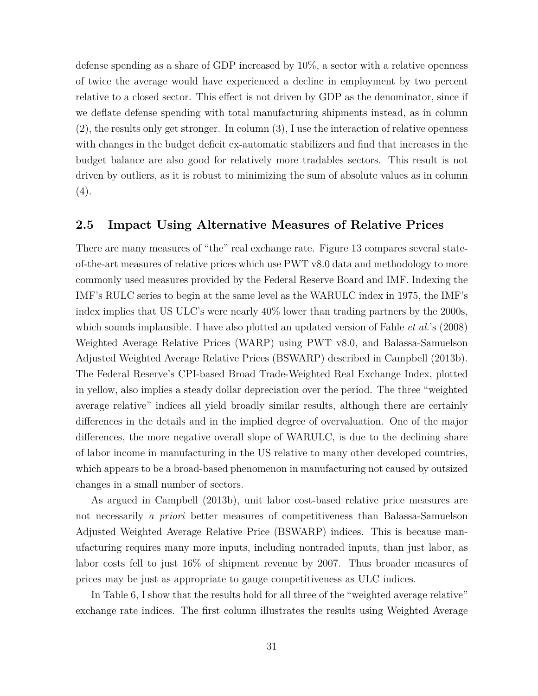defense spending as a share of GDP increased by 10%, a sector with a relative openness of twice the average would have experienced a decline in employment by two percent relative to a closed sector. This effect is not driven by GDP as the denominator, since if we deflate defense spending with total manufacturing shipments instead, as in column (2), the results only get stronger. In column (3), I use the interaction of relative openness with changes in the budget deficit ex-automatic stabilizers and find that increases in the budget balance are also good for relatively more tradables sectors. This result is not driven by outliers, as it is robust to minimizing the sum of absolute values as in column  $(4).$ 

#### **2.5 Impact Using Alternative Measures of Relative Prices**

There are many measures of "the" real exchange rate. Figure [13](#page-32-0) compares several stateof-the-art measures of relative prices which use PWT v8.0 data and methodology to more commonly used measures provided by the Federal Reserve Board and IMF. Indexing the IMF's RULC series to begin at the same level as the WARULC index in 1975, the IMF's index implies that US ULC's were nearly 40% lower than trading partners by the 2000s, which sounds implausible. I have also plotted an updated version of Fahle *et al.*'s (2008) Weighted Average Relative Prices (WARP) using PWT v8.0, and Balassa-Samuelson Adjusted Weighted Average Relative Prices (BSWARP) described in Campbell (2013b). The Federal Reserve's CPI-based Broad Trade-Weighted Real Exchange Index, plotted in yellow, also implies a steady dollar depreciation over the period. The three "weighted average relative" indices all yield broadly similar results, although there are certainly differences in the details and in the implied degree of overvaluation. One of the major differences, the more negative overall slope of WARULC, is due to the declining share of labor income in manufacturing in the US relative to many other developed countries, which appears to be a broad-based phenomenon in manufacturing not caused by outsized changes in a small number of sectors.

As argued in Campbell (2013b), unit labor cost-based relative price measures are not necessarily *a priori* better measures of competitiveness than Balassa-Samuelson Adjusted Weighted Average Relative Price (BSWARP) indices. This is because manufacturing requires many more inputs, including nontraded inputs, than just labor, as labor costs fell to just 16% of shipment revenue by 2007. Thus broader measures of prices may be just as appropriate to gauge competitiveness as ULC indices.

In Table [6,](#page-33-0) I show that the results hold for all three of the "weighted average relative" exchange rate indices. The first column illustrates the results using Weighted Average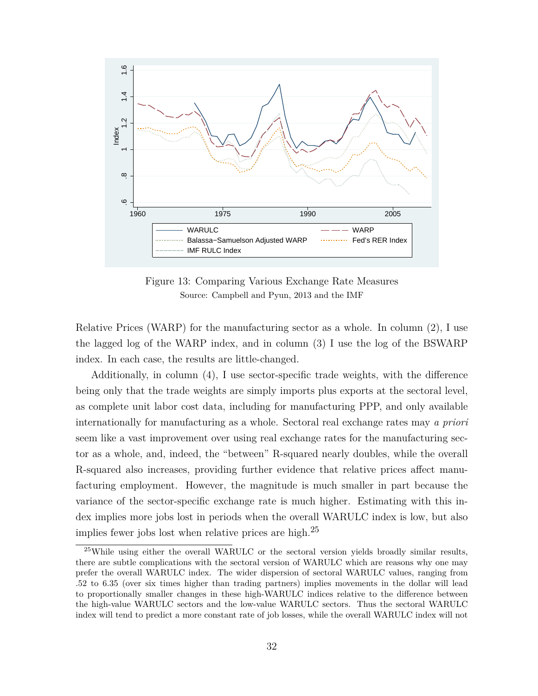<span id="page-32-0"></span>

Figure 13: Comparing Various Exchange Rate Measures Source: Campbell and Pyun, 2013 and the IMF

Relative Prices (WARP) for the manufacturing sector as a whole. In column (2), I use the lagged log of the WARP index, and in column (3) I use the log of the BSWARP index. In each case, the results are little-changed.

Additionally, in column (4), I use sector-specific trade weights, with the difference being only that the trade weights are simply imports plus exports at the sectoral level, as complete unit labor cost data, including for manufacturing PPP, and only available internationally for manufacturing as a whole. Sectoral real exchange rates may *a priori* seem like a vast improvement over using real exchange rates for the manufacturing sector as a whole, and, indeed, the "between" R-squared nearly doubles, while the overall R-squared also increases, providing further evidence that relative prices affect manufacturing employment. However, the magnitude is much smaller in part because the variance of the sector-specific exchange rate is much higher. Estimating with this index implies more jobs lost in periods when the overall WARULC index is low, but also implies fewer jobs lost when relative prices are high.<sup>[25](#page-32-1)</sup>

<span id="page-32-1"></span><sup>&</sup>lt;sup>25</sup>While using either the overall WARULC or the sectoral version yields broadly similar results, there are subtle complications with the sectoral version of WARULC which are reasons why one may prefer the overall WARULC index. The wider dispersion of sectoral WARULC values, ranging from .52 to 6.35 (over six times higher than trading partners) implies movements in the dollar will lead to proportionally smaller changes in these high-WARULC indices relative to the difference between the high-value WARULC sectors and the low-value WARULC sectors. Thus the sectoral WARULC index will tend to predict a more constant rate of job losses, while the overall WARULC index will not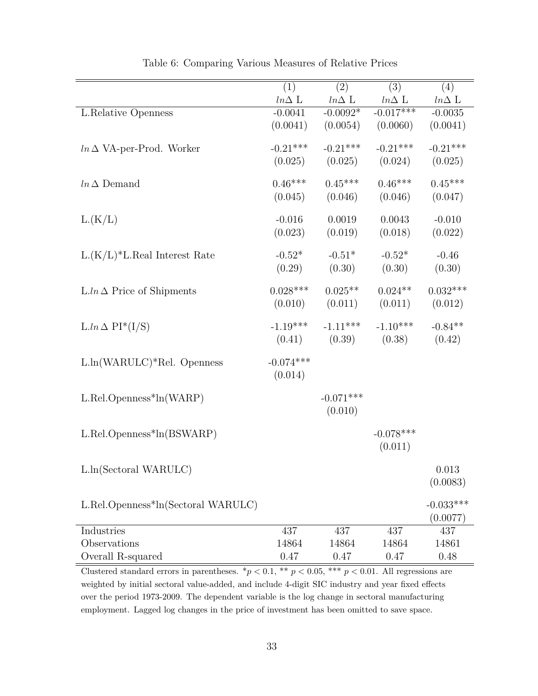<span id="page-33-0"></span>

|                                        | (1)          | (2)          | (3)          | (4)          |
|----------------------------------------|--------------|--------------|--------------|--------------|
|                                        | $ln\Delta$ L | $ln\Delta$ L | $ln\Delta$ L | $ln\Delta$ L |
| L.Relative Openness                    | $-0.0041$    | $-0.0092*$   | $-0.017***$  | $-0.0035$    |
|                                        | (0.0041)     | (0.0054)     | (0.0060)     | (0.0041)     |
|                                        | $-0.21***$   | $-0.21***$   | $-0.21***$   | $-0.21***$   |
| $ln \Delta$ VA-per-Prod. Worker        |              |              |              |              |
|                                        | (0.025)      | (0.025)      | (0.024)      | (0.025)      |
| $ln \Delta$ Demand                     | $0.46***$    | $0.45***$    | $0.46***$    | $0.45***$    |
|                                        | (0.045)      | (0.046)      | (0.046)      | (0.047)      |
|                                        |              |              |              |              |
| L(K/L)                                 | $-0.016$     | 0.0019       | 0.0043       | $-0.010$     |
|                                        | (0.023)      | (0.019)      | (0.018)      | (0.022)      |
| $L(K/L)^*L$ . Real Interest Rate       | $-0.52*$     | $-0.51*$     | $-0.52*$     | $-0.46$      |
|                                        | (0.29)       | (0.30)       | (0.30)       | (0.30)       |
|                                        |              |              |              |              |
| $L \cdot ln \Delta$ Price of Shipments | $0.028***$   | $0.025**$    | $0.024**$    | $0.032***$   |
|                                        | (0.010)      | (0.011)      | (0.011)      | (0.012)      |
|                                        |              |              |              |              |
| $L.ln \Delta PI^*(I/S)$                | $-1.19***$   | $-1.11***$   | $-1.10***$   | $-0.84**$    |
|                                        | (0.41)       | (0.39)       | (0.38)       | (0.42)       |
| $L\ln(WARULC)*Rel.$ Openness           | $-0.074***$  |              |              |              |
|                                        | (0.014)      |              |              |              |
|                                        |              |              |              |              |
| $L. Rel. Openness*ln(WARP)$            |              | $-0.071***$  |              |              |
|                                        |              | (0.010)      |              |              |
|                                        |              |              |              |              |
| $L. Rel. Openness*ln(BSWARP)$          |              |              | $-0.078***$  |              |
|                                        |              |              | (0.011)      |              |
| L.ln(Sectoral WARULC)                  |              |              |              | 0.013        |
|                                        |              |              |              | (0.0083)     |
|                                        |              |              |              |              |
| L.Rel.Openness*ln(Sectoral WARULC)     |              |              |              | $-0.033***$  |
|                                        |              |              |              | (0.0077)     |
| Industries                             | 437          | 437          | 437          | 437          |
| Observations                           | 14864        | 14864        | 14864        | 14861        |
| Overall R-squared                      | 0.47         | 0.47         | 0.47         | 0.48         |

Table 6: Comparing Various Measures of Relative Prices

Clustered standard errors in parentheses.  $*p < 0.1$ ,  $** p < 0.05$ ,  $*** p < 0.01$ . All regressions are weighted by initial sectoral value-added, and include 4-digit SIC industry and year fixed effects over the period 1973-2009. The dependent variable is the log change in sectoral manufacturing employment. Lagged log changes in the price of investment has been omitted to save space.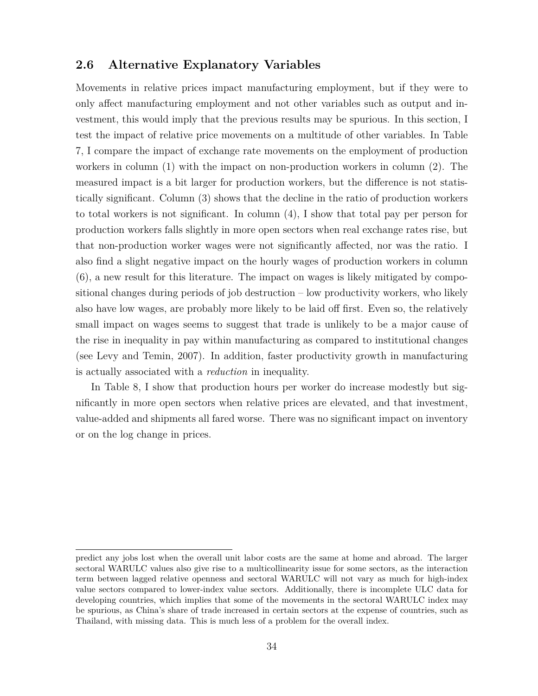#### **2.6 Alternative Explanatory Variables**

Movements in relative prices impact manufacturing employment, but if they were to only affect manufacturing employment and not other variables such as output and investment, this would imply that the previous results may be spurious. In this section, I test the impact of relative price movements on a multitude of other variables. In Table [7,](#page-35-0) I compare the impact of exchange rate movements on the employment of production workers in column (1) with the impact on non-production workers in column (2). The measured impact is a bit larger for production workers, but the difference is not statistically significant. Column (3) shows that the decline in the ratio of production workers to total workers is not significant. In column (4), I show that total pay per person for production workers falls slightly in more open sectors when real exchange rates rise, but that non-production worker wages were not significantly affected, nor was the ratio. I also find a slight negative impact on the hourly wages of production workers in column (6), a new result for this literature. The impact on wages is likely mitigated by compositional changes during periods of job destruction – low productivity workers, who likely also have low wages, are probably more likely to be laid off first. Even so, the relatively small impact on wages seems to suggest that trade is unlikely to be a major cause of the rise in inequality in pay within manufacturing as compared to institutional changes (see Levy and Temin, 2007). In addition, faster productivity growth in manufacturing is actually associated with a *reduction* in inequality.

In Table [8,](#page-36-0) I show that production hours per worker do increase modestly but significantly in more open sectors when relative prices are elevated, and that investment, value-added and shipments all fared worse. There was no significant impact on inventory or on the log change in prices.

predict any jobs lost when the overall unit labor costs are the same at home and abroad. The larger sectoral WARULC values also give rise to a multicollinearity issue for some sectors, as the interaction term between lagged relative openness and sectoral WARULC will not vary as much for high-index value sectors compared to lower-index value sectors. Additionally, there is incomplete ULC data for developing countries, which implies that some of the movements in the sectoral WARULC index may be spurious, as China's share of trade increased in certain sectors at the expense of countries, such as Thailand, with missing data. This is much less of a problem for the overall index.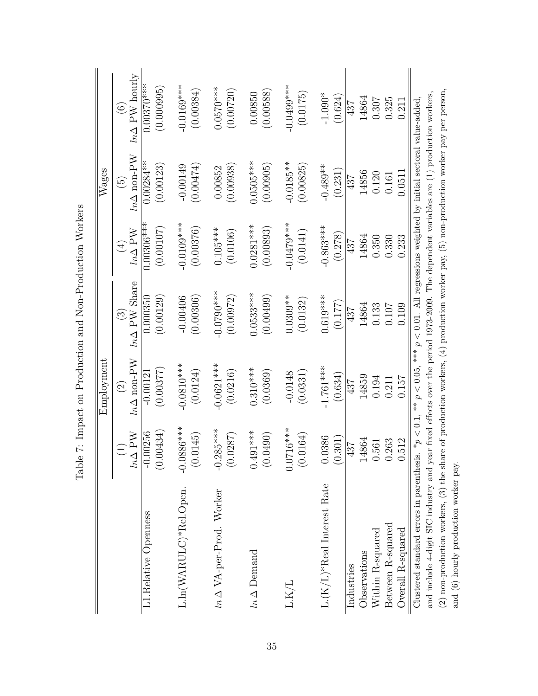|                                                                                                                                              |                | Employment                                |                                                |                                                | Wages                                   |                                                   |
|----------------------------------------------------------------------------------------------------------------------------------------------|----------------|-------------------------------------------|------------------------------------------------|------------------------------------------------|-----------------------------------------|---------------------------------------------------|
|                                                                                                                                              | $ln \Delta$ PW | $\ln \Delta$ non-PW<br>$\widehat{\infty}$ | $ln \Delta$ PW Share<br>$\widehat{\mathbb{C}}$ | $ln \Delta$ PW<br>$\left( \frac{1}{2} \right)$ | $\ln\Delta$ non-PW<br>$\widetilde{\Xi}$ | $ln \Delta$ PW hourly<br>$\widehat{\mathfrak{S}}$ |
| L1.Relative Openness                                                                                                                         | $-0.00256$     | (0.00377)                                 | 0.000350                                       | $0.00306***$                                   | $0.00284***$                            | $0.00370***$                                      |
|                                                                                                                                              | (0.00434)      | $-0.00121$                                | (0.00129)                                      | (0.00107)                                      | (0.00123)                               | (0.000995)                                        |
| L.ln(WARULC)*Rel.Open.                                                                                                                       | $-0.0886***$   | $-0.0810***$                              | (0.00306)                                      | $-0.0109***$                                   | (0.00474)                               | $-0.0169***$                                      |
|                                                                                                                                              | (0.0145)       | (0.0124)                                  | $-0.00406$                                     | (0.00376)                                      | $-0.00149$                              | (0.00384)                                         |
| $ln \Delta$ VA-per-Prod. Worker                                                                                                              | $-0.285***$    | $-0.0621***$                              | $0.0790***$                                    | $0.105***$                                     | (0.00938)                               | $0.0570***$                                       |
|                                                                                                                                              | (0.0287)       | (0.0216)                                  | (0.00972)                                      | (0.0106)                                       | 0.00852                                 | (0.00720)                                         |
| $ln \Delta$ Demand                                                                                                                           | $0.491***$     | $0.310***$                                | $0.0533***$                                    | $0.0281***$                                    | $0.0505***$                             | (0.00588)                                         |
|                                                                                                                                              | (0.0490)       | (0.0369)                                  | (0.00499)                                      | (0.00893)                                      | (0.00905)                               | 0.00850                                           |
| L.K/L                                                                                                                                        | $0.0716***$    | (0.0331)                                  | $0.0309**$                                     | $-0.0479***$                                   | $-0.0185**$                             | $0.0499***$                                       |
|                                                                                                                                              | (0.0164)       | $-0.0148$                                 | (0.0132)                                       | (0.0141)                                       | (0.00825)                               | (0.0175)                                          |
| $\text{L}.\text{(K/L)}{}^*\text{Real Interest Rate}$                                                                                         | 0.0386         | $-1.761***$                               | $0.619***$                                     | $-0.863***$                                    | $-0.489**$                              | $-1.090*$                                         |
|                                                                                                                                              | 0.301)         | (0.634)                                   | (0.177)                                        | (0.278)                                        | (0.231)                                 | (0.624)                                           |
| Observations                                                                                                                                 | 4864           | 14859                                     | 14864                                          | 14864                                          | 14856                                   | 14864                                             |
| Industries                                                                                                                                   | 437            | 437                                       | 437                                            | 437                                            | 437                                     | 437                                               |
| Within R-squared                                                                                                                             | <b>561</b>     | 0.194                                     | 0.133                                          | 0.350                                          | 0.120                                   | 0.307                                             |
| Between R-squared                                                                                                                            | .263           | 0.157                                     | 0.107                                          | 0.330                                          | 0.0511                                  | 0.325                                             |
| Overall R-squared                                                                                                                            | .512           | 0.211                                     | 0.109                                          | 0.233                                          | 0.161                                   | 0.211                                             |
| Clustered standard errors in parenthesis. $*_p$ < 0.1, $*_p$ < 0.05, $**_p$ < 0.01. All regressions weighted by initial sectoral value-added |                |                                           |                                                |                                                |                                         |                                                   |
| and include 4-digit SIC industry and year fixed effects over the period 1973-2009. The dependent variables are (1) production workers,       |                |                                           |                                                |                                                |                                         |                                                   |
| (2) non-production workers, (3) the share of production workers, (4) production worker pay, (5) non-production worker pay per person,        |                |                                           |                                                |                                                |                                         |                                                   |
| and (6) hourly production worker pay.                                                                                                        |                |                                           |                                                |                                                |                                         |                                                   |

<span id="page-35-0"></span>Table 7: Impact on Production and Non-Production Workers Table 7: Impact on Production and Non-Production Workers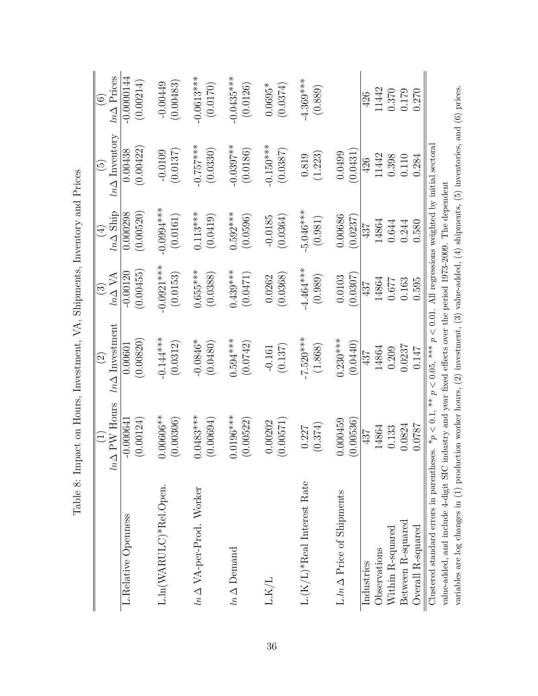|                                                                                                                                                                                                                                                           | $ln \Delta$ PW Hours     | $ln \Delta$ Investment<br>$\widehat{\odot}$ | $ln \Delta$ VA<br>$\odot$ | $ln \Delta$ Ship<br>$\bigoplus$ | $ln \Delta$ Inventory<br>$\widetilde{5}$ | $ln \Delta$ Prices<br>$\widehat{\odot}$ |
|-----------------------------------------------------------------------------------------------------------------------------------------------------------------------------------------------------------------------------------------------------------|--------------------------|---------------------------------------------|---------------------------|---------------------------------|------------------------------------------|-----------------------------------------|
| L.Relative Openness                                                                                                                                                                                                                                       | (0.00124)<br>$-0.00064$  | (0.00820)<br>0.00001                        | (0.00455)<br>$-0.00120$   | (0.00520)<br>0.000298           | (0.00422)<br>0.00438                     | $-0.0000144$<br>(0.00214)               |
| L.ln(WARULC)*Rel.Open.                                                                                                                                                                                                                                    | $0.00606**$<br>(0.00306) | $-0.144***$<br>(0.0312)                     | $-0.0921***$<br>(0.0153)  | $-0.0994***$<br>(0.0161)        | (0.0137)<br>$-0.0109$                    | (0.00483)<br>$-0.00449$                 |
| $ln \Delta$ VA-per-Prod. Worker                                                                                                                                                                                                                           | $0.0483***$<br>(0.00694) | $-0.0846*$<br>(0.0480)                      | $0.655***$<br>(0.0388)    | $0.113***$<br>(0.0419)          | $-0.757***$<br>(0.0330)                  | $-0.0613***$<br>(0.0170)                |
| $ln \Delta$ Demand                                                                                                                                                                                                                                        | $0.0196***$<br>(0.00522) | $0.594***$<br>(0.0742)                      | $0.439***$<br>(0.0471)    | $0.592***$<br>(0.0596)          | $-0.0397**$<br>(0.0186)                  | $-0.0435***$<br>(0.0126)                |
| ${\rm L.K/L}$                                                                                                                                                                                                                                             | (0.00571)<br>0.00202     | (0.137)<br>$-0.161$                         | (0.0368)<br>0.0262        | (0.0364)<br>$-0.0185$           | $-0.150***$<br>(0.0387)                  | $0.0695*$<br>(0.0374)                   |
| $L.(K/L)*Real Interest Rate$                                                                                                                                                                                                                              | (0.374)<br>0.227         | $-7.520***$<br>(1.868)                      | $-4.464***$<br>(0.989)    | $-5.046***$<br>(0.981)          | (1.223)<br>0.819                         | $-4.369***$<br>(0.889)                  |
| $L \cdot ln \Delta$ Price of Shipments                                                                                                                                                                                                                    | 0.000459<br>(0.00536)    | $0.230***$<br>(0.0440)                      | (0.0307)<br>0.0103        | 0.00686<br>(0.0237)             | 0.0431<br>0.0499                         |                                         |
| Industries                                                                                                                                                                                                                                                | 437                      | 437                                         | 437                       | 437                             | 426                                      | 426                                     |
| Observations                                                                                                                                                                                                                                              | 14864                    | 14864                                       | 14864                     | 14864                           | 11442                                    | 11442                                   |
| Within R-squared                                                                                                                                                                                                                                          | 0.133                    | 0.209                                       | 129.0                     | 0.644                           | 0.398                                    | $0.370\,$                               |
| Between R-squared                                                                                                                                                                                                                                         | 0.0824                   | 0.0237                                      | 0.163                     | 0.244                           | 0.110                                    | 0.179                                   |
| Overall R-squared                                                                                                                                                                                                                                         | 0.0787                   | 0.147                                       | 0.595                     | 0.580                           | 0.284                                    | 0.270                                   |
| Clustered standard errors in parentheses. $*_p$ < 0.1, $^{**}$ p < 0.05, $^{***}$ p < 0.01. All regressions weighted by initial sectoral<br>value-added, and include 4-digit SIC industry and year fixed effects over the period 1973-2009. The dependent |                          |                                             |                           |                                 |                                          |                                         |
| variables are log changes in $(1)$ production worker hours, $(2)$ investment, $(3)$ value-added, $(4)$ shipments, $(5)$ inventories, and $(6)$ prices.                                                                                                    |                          |                                             |                           |                                 |                                          |                                         |

<span id="page-36-0"></span>Table 8: Impact on Hours, Investment, VA, Shipments, Inventory and Prices Table 8: Impact on Hours, Investment, VA, Shipments, Inventory and Prices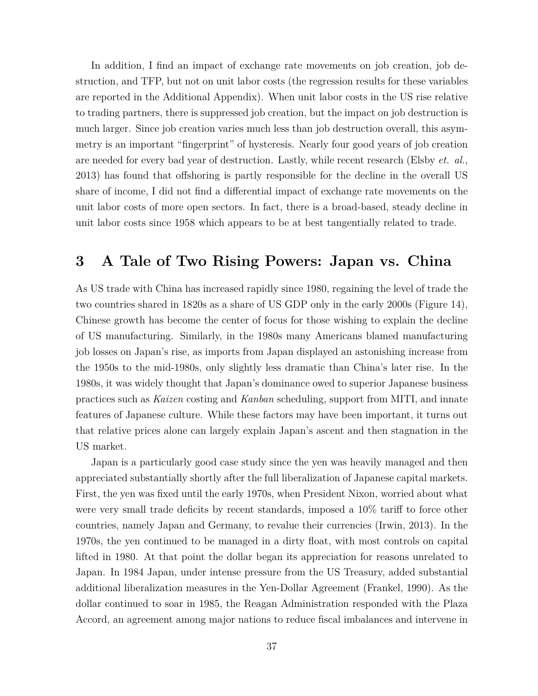In addition, I find an impact of exchange rate movements on job creation, job destruction, and TFP, but not on unit labor costs (the regression results for these variables are reported in the Additional Appendix). When unit labor costs in the US rise relative to trading partners, there is suppressed job creation, but the impact on job destruction is much larger. Since job creation varies much less than job destruction overall, this asymmetry is an important "fingerprint" of hysteresis. Nearly four good years of job creation are needed for every bad year of destruction. Lastly, while recent research (Elsby *et. al.*, 2013) has found that offshoring is partly responsible for the decline in the overall US share of income, I did not find a differential impact of exchange rate movements on the unit labor costs of more open sectors. In fact, there is a broad-based, steady decline in unit labor costs since 1958 which appears to be at best tangentially related to trade.

## **3 A Tale of Two Rising Powers: Japan vs. China**

As US trade with China has increased rapidly since 1980, regaining the level of trade the two countries shared in 1820s as a share of US GDP only in the early 2000s (Figure [14\)](#page-38-0), Chinese growth has become the center of focus for those wishing to explain the decline of US manufacturing. Similarly, in the 1980s many Americans blamed manufacturing job losses on Japan's rise, as imports from Japan displayed an astonishing increase from the 1950s to the mid-1980s, only slightly less dramatic than China's later rise. In the 1980s, it was widely thought that Japan's dominance owed to superior Japanese business practices such as *Kaizen* costing and *Kanban* scheduling, support from MITI, and innate features of Japanese culture. While these factors may have been important, it turns out that relative prices alone can largely explain Japan's ascent and then stagnation in the US market.

Japan is a particularly good case study since the yen was heavily managed and then appreciated substantially shortly after the full liberalization of Japanese capital markets. First, the yen was fixed until the early 1970s, when President Nixon, worried about what were very small trade deficits by recent standards, imposed a 10% tariff to force other countries, namely Japan and Germany, to revalue their currencies (Irwin, 2013). In the 1970s, the yen continued to be managed in a dirty float, with most controls on capital lifted in 1980. At that point the dollar began its appreciation for reasons unrelated to Japan. In 1984 Japan, under intense pressure from the US Treasury, added substantial additional liberalization measures in the Yen-Dollar Agreement (Frankel, 1990). As the dollar continued to soar in 1985, the Reagan Administration responded with the Plaza Accord, an agreement among major nations to reduce fiscal imbalances and intervene in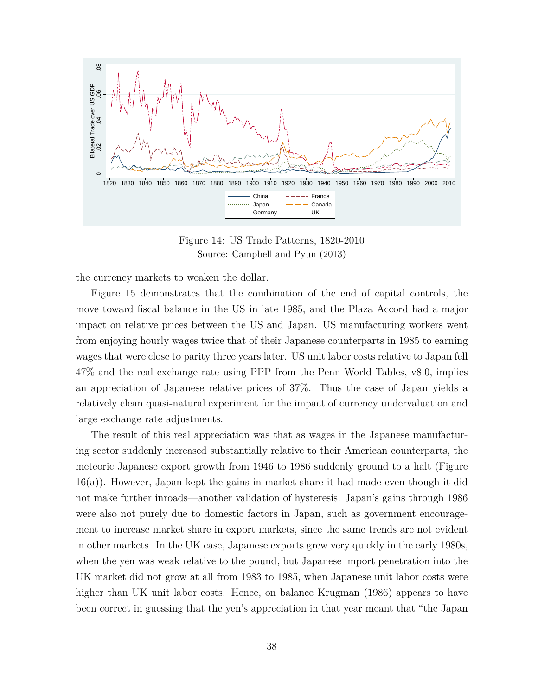<span id="page-38-0"></span>

Figure 14: US Trade Patterns, 1820-2010 Source: Campbell and Pyun (2013)

the currency markets to weaken the dollar.

Figure [15](#page-39-0) demonstrates that the combination of the end of capital controls, the move toward fiscal balance in the US in late 1985, and the Plaza Accord had a major impact on relative prices between the US and Japan. US manufacturing workers went from enjoying hourly wages twice that of their Japanese counterparts in 1985 to earning wages that were close to parity three years later. US unit labor costs relative to Japan fell 47% and the real exchange rate using PPP from the Penn World Tables, v8.0, implies an appreciation of Japanese relative prices of 37%. Thus the case of Japan yields a relatively clean quasi-natural experiment for the impact of currency undervaluation and large exchange rate adjustments.

The result of this real appreciation was that as wages in the Japanese manufacturing sector suddenly increased substantially relative to their American counterparts, the meteoric Japanese export growth from 1946 to 1986 suddenly ground to a halt (Figure [16\(](#page-39-1)a)). However, Japan kept the gains in market share it had made even though it did not make further inroads—another validation of hysteresis. Japan's gains through 1986 were also not purely due to domestic factors in Japan, such as government encouragement to increase market share in export markets, since the same trends are not evident in other markets. In the UK case, Japanese exports grew very quickly in the early 1980s, when the yen was weak relative to the pound, but Japanese import penetration into the UK market did not grow at all from 1983 to 1985, when Japanese unit labor costs were higher than UK unit labor costs. Hence, on balance Krugman (1986) appears to have been correct in guessing that the yen's appreciation in that year meant that "the Japan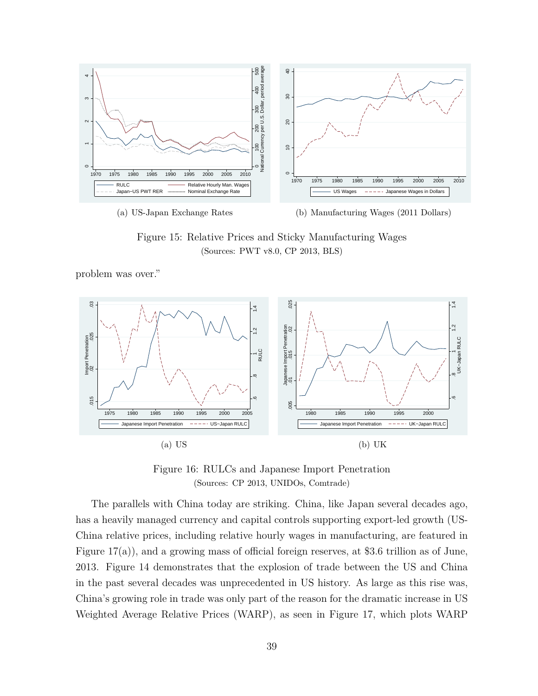<span id="page-39-0"></span>

Figure 15: Relative Prices and Sticky Manufacturing Wages (Sources: PWT v8.0, CP 2013, BLS)

problem was over."

<span id="page-39-1"></span>

Figure 16: RULCs and Japanese Import Penetration (Sources: CP 2013, UNIDOs, Comtrade)

The parallels with China today are striking. China, like Japan several decades ago, has a heavily managed currency and capital controls supporting export-led growth (US-China relative prices, including relative hourly wages in manufacturing, are featured in Figure [17\(](#page-41-0)a)), and a growing mass of official foreign reserves, at \$3.6 trillion as of June, 2013. Figure [14](#page-38-0) demonstrates that the explosion of trade between the US and China in the past several decades was unprecedented in US history. As large as this rise was, China's growing role in trade was only part of the reason for the dramatic increase in US Weighted Average Relative Prices (WARP), as seen in Figure [17,](#page-41-0) which plots WARP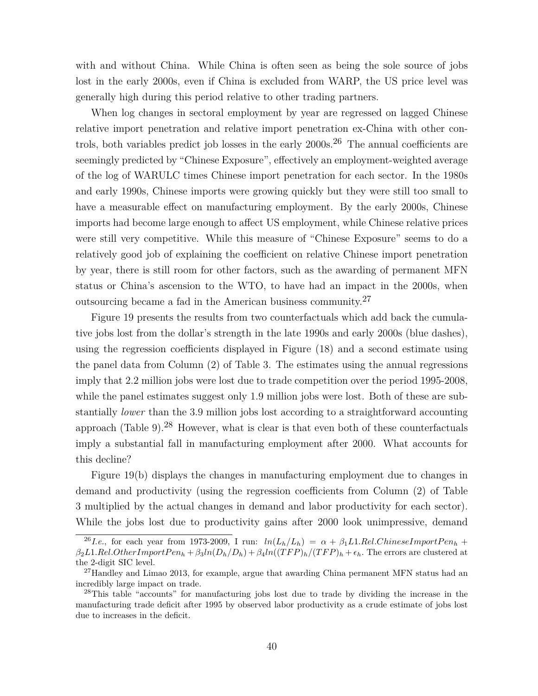with and without China. While China is often seen as being the sole source of jobs lost in the early 2000s, even if China is excluded from WARP, the US price level was generally high during this period relative to other trading partners.

When log changes in sectoral employment by year are regressed on lagged Chinese relative import penetration and relative import penetration ex-China with other controls, both variables predict job losses in the early  $2000s$ .<sup>[26](#page-40-0)</sup> The annual coefficients are seemingly predicted by "Chinese Exposure", effectively an employment-weighted average of the log of WARULC times Chinese import penetration for each sector. In the 1980s and early 1990s, Chinese imports were growing quickly but they were still too small to have a measurable effect on manufacturing employment. By the early 2000s, Chinese imports had become large enough to affect US employment, while Chinese relative prices were still very competitive. While this measure of "Chinese Exposure" seems to do a relatively good job of explaining the coefficient on relative Chinese import penetration by year, there is still room for other factors, such as the awarding of permanent MFN status or China's ascension to the WTO, to have had an impact in the 2000s, when outsourcing became a fad in the American business community.[27](#page-40-1)

Figure [19](#page-42-0) presents the results from two counterfactuals which add back the cumulative jobs lost from the dollar's strength in the late 1990s and early 2000s (blue dashes), using the regression coefficients displayed in Figure [\(18\)](#page-41-0) and a second estimate using the panel data from Column (2) of Table [3.](#page-24-0) The estimates using the annual regressions imply that 2.2 million jobs were lost due to trade competition over the period 1995-2008, while the panel estimates suggest only 1.9 million jobs were lost. Both of these are substantially *lower* than the 3.9 million jobs lost according to a straightforward accounting approach (Table [9\)](#page-43-0).<sup>[28](#page-40-2)</sup> However, what is clear is that even both of these counterfactuals imply a substantial fall in manufacturing employment after 2000. What accounts for this decline?

Figure [19\(](#page-42-0)b) displays the changes in manufacturing employment due to changes in demand and productivity (using the regression coefficients from Column (2) of Table [3](#page-24-0) multiplied by the actual changes in demand and labor productivity for each sector). While the jobs lost due to productivity gains after 2000 look unimpressive, demand

<span id="page-40-0"></span><sup>&</sup>lt;sup>26</sup>*I.e.*, for each year from 1973-2009, I run:  $ln(L_h/L_h) = \alpha + \beta_1 L1.$  Rel.ChineseImportPen<sub>h</sub> +  $\beta_2 L1. Rel. Other ImportPen_h + \beta_3 ln(D_h/D_h) + \beta_4 ln((TFP)_h/(TFP)_h + \epsilon_h)$ . The errors are clustered at the 2-digit SIC level.

<span id="page-40-1"></span><sup>&</sup>lt;sup>27</sup>Handley and Limao 2013, for example, argue that awarding China permanent MFN status had an incredibly large impact on trade.

<span id="page-40-2"></span><sup>&</sup>lt;sup>28</sup>This table "accounts" for manufacturing jobs lost due to trade by dividing the increase in the manufacturing trade deficit after 1995 by observed labor productivity as a crude estimate of jobs lost due to increases in the deficit.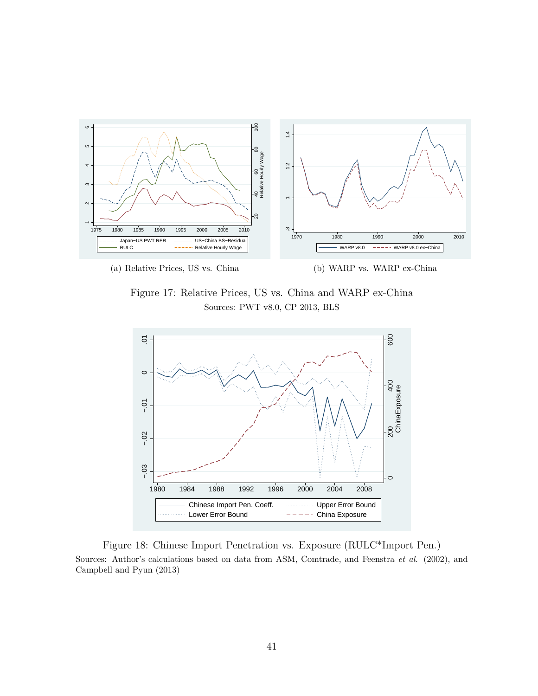<span id="page-41-0"></span>

Figure 17: Relative Prices, US vs. China and WARP ex-China Sources: PWT v8.0, CP 2013, BLS



Figure 18: Chinese Import Penetration vs. Exposure (RULC\*Import Pen.) Sources: Author's calculations based on data from ASM, Comtrade, and Feenstra *et al.* (2002), and Campbell and Pyun (2013)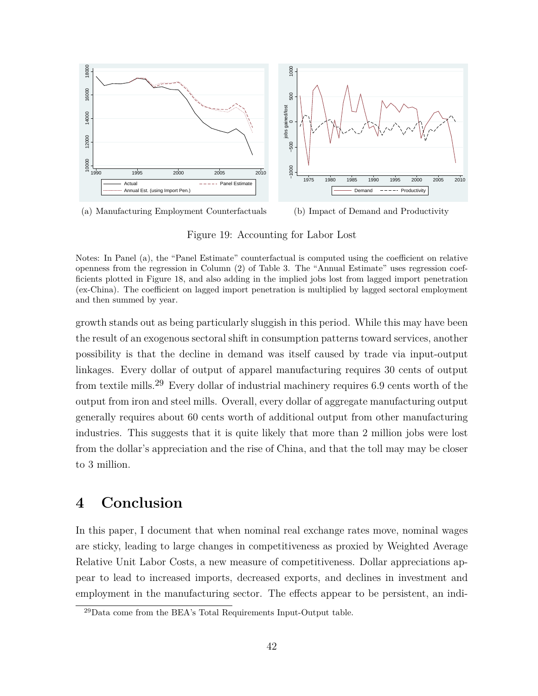<span id="page-42-0"></span>

(a) Manufacturing Employment Counterfactuals (b) Impact of Demand and Productivity

Figure 19: Accounting for Labor Lost

Notes: In Panel (a), the "Panel Estimate" counterfactual is computed using the coefficient on relative openness from the regression in Column (2) of Table 3. The "Annual Estimate" uses regression coefficients plotted in Figure 18, and also adding in the implied jobs lost from lagged import penetration (ex-China). The coefficient on lagged import penetration is multiplied by lagged sectoral employment and then summed by year.

growth stands out as being particularly sluggish in this period. While this may have been the result of an exogenous sectoral shift in consumption patterns toward services, another possibility is that the decline in demand was itself caused by trade via input-output linkages. Every dollar of output of apparel manufacturing requires 30 cents of output from textile mills.[29](#page-42-1) Every dollar of industrial machinery requires 6.9 cents worth of the output from iron and steel mills. Overall, every dollar of aggregate manufacturing output generally requires about 60 cents worth of additional output from other manufacturing industries. This suggests that it is quite likely that more than 2 million jobs were lost from the dollar's appreciation and the rise of China, and that the toll may may be closer to 3 million.

## **4 Conclusion**

In this paper, I document that when nominal real exchange rates move, nominal wages are sticky, leading to large changes in competitiveness as proxied by Weighted Average Relative Unit Labor Costs, a new measure of competitiveness. Dollar appreciations appear to lead to increased imports, decreased exports, and declines in investment and employment in the manufacturing sector. The effects appear to be persistent, an indi-

<span id="page-42-1"></span><sup>29</sup>Data come from the BEA's Total Requirements Input-Output table.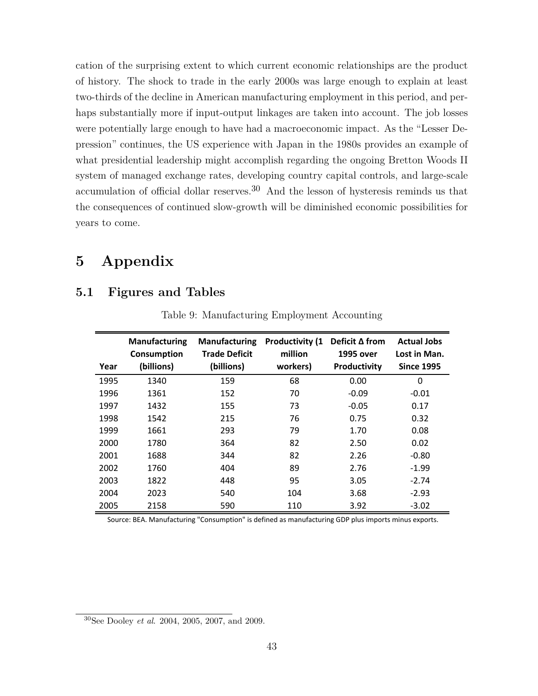cation of the surprising extent to which current economic relationships are the product of history. The shock to trade in the early 2000s was large enough to explain at least two-thirds of the decline in American manufacturing employment in this period, and perhaps substantially more if input-output linkages are taken into account. The job losses were potentially large enough to have had a macroeconomic impact. As the "Lesser Depression" continues, the US experience with Japan in the 1980s provides an example of what presidential leadership might accomplish regarding the ongoing Bretton Woods II system of managed exchange rates, developing country capital controls, and large-scale accumulation of official dollar reserves.<sup>[30](#page-43-1)</sup> And the lesson of hysteresis reminds us that the consequences of continued slow-growth will be diminished economic possibilities for years to come.

# **5 Appendix**

## <span id="page-43-0"></span>**5.1 Figures and Tables**

| Year | <b>Manufacturing</b><br>Consumption<br>(billions) | <b>Manufacturing</b><br><b>Trade Deficit</b><br>(billions) | <b>Productivity (1</b><br>million<br>workers) | Deficit $\Delta$ from<br>1995 over<br>Productivity | <b>Actual Jobs</b><br>Lost in Man.<br><b>Since 1995</b> |
|------|---------------------------------------------------|------------------------------------------------------------|-----------------------------------------------|----------------------------------------------------|---------------------------------------------------------|
| 1995 | 1340                                              | 159                                                        | 68                                            | 0.00                                               | 0                                                       |
| 1996 | 1361                                              | 152                                                        | 70                                            | $-0.09$                                            | $-0.01$                                                 |
| 1997 | 1432                                              | 155                                                        | 73                                            | $-0.05$                                            | 0.17                                                    |
| 1998 | 1542                                              | 215                                                        | 76                                            | 0.75                                               | 0.32                                                    |
| 1999 | 1661                                              | 293                                                        | 79                                            | 1.70                                               | 0.08                                                    |
| 2000 | 1780                                              | 364                                                        | 82                                            | 2.50                                               | 0.02                                                    |
| 2001 | 1688                                              | 344                                                        | 82                                            | 2.26                                               | $-0.80$                                                 |
| 2002 | 1760                                              | 404                                                        | 89                                            | 2.76                                               | $-1.99$                                                 |
| 2003 | 1822                                              | 448                                                        | 95                                            | 3.05                                               | $-2.74$                                                 |
| 2004 | 2023                                              | 540                                                        | 104                                           | 3.68                                               | $-2.93$                                                 |
| 2005 | 2158                                              | 590                                                        | 110                                           | 3.92                                               | $-3.02$                                                 |

Table 9: Manufacturing Employment Accounting

Source: BEA. Manufacturing "Consumption" is defined as manufacturing GDP plus imports minus exports.

<span id="page-43-1"></span><sup>30</sup>See Dooley *et al*. 2004, 2005, 2007, and 2009.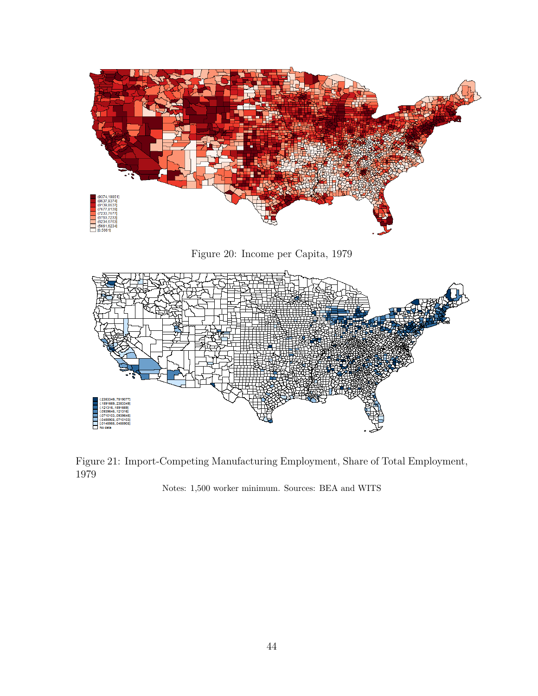<span id="page-44-0"></span>

Figure 20: Income per Capita, 1979



Figure 21: Import-Competing Manufacturing Employment, Share of Total Employment, 1979

Notes: 1,500 worker minimum. Sources: BEA and WITS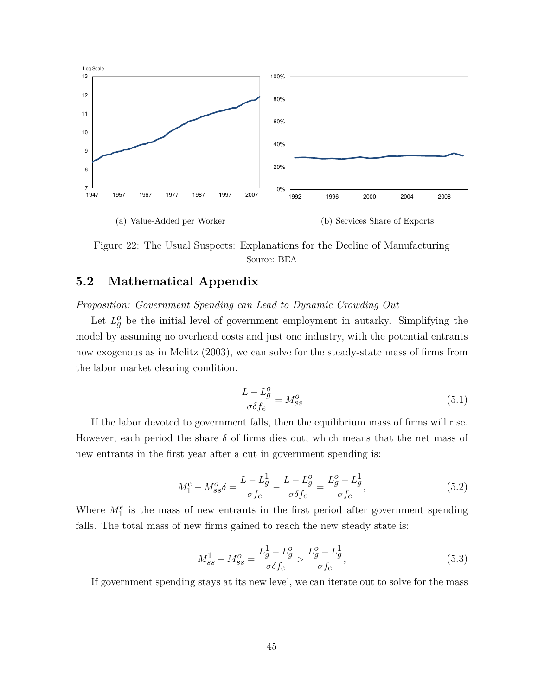<span id="page-45-0"></span>

Figure 22: The Usual Suspects: Explanations for the Decline of Manufacturing Source: BEA

## **5.2 Mathematical Appendix**

*Proposition: Government Spending can Lead to Dynamic Crowding Out*

Let  $L_g^o$  be the initial level of government employment in autarky. Simplifying the model by assuming no overhead costs and just one industry, with the potential entrants now exogenous as in Melitz (2003), we can solve for the steady-state mass of firms from the labor market clearing condition.

$$
\frac{L - L_g^o}{\sigma \delta f_e} = M_{ss}^o \tag{5.1}
$$

If the labor devoted to government falls, then the equilibrium mass of firms will rise. However, each period the share  $\delta$  of firms dies out, which means that the net mass of new entrants in the first year after a cut in government spending is:

$$
M_1^e - M_{ss}^o \delta = \frac{L - L_g^1}{\sigma f_e} - \frac{L - L_g^o}{\sigma \delta f_e} = \frac{L_g^o - L_g^1}{\sigma f_e},
$$
\n(5.2)

Where  $M_1^e$  is the mass of new entrants in the first period after government spending falls. The total mass of new firms gained to reach the new steady state is:

$$
M_{ss}^{1} - M_{ss}^{o} = \frac{L_{g}^{1} - L_{g}^{o}}{\sigma \delta f_{e}} > \frac{L_{g}^{o} - L_{g}^{1}}{\sigma f_{e}},
$$
\n(5.3)

If government spending stays at its new level, we can iterate out to solve for the mass